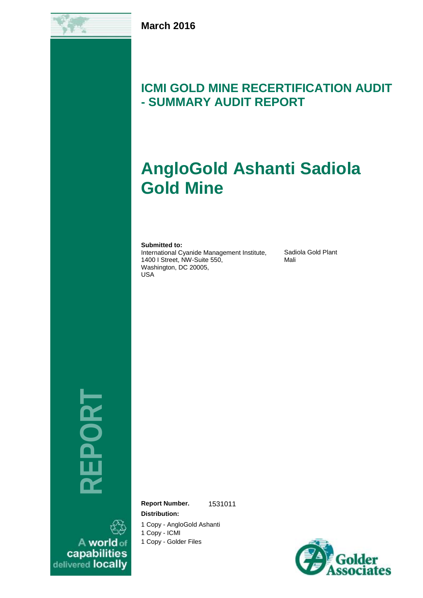

# **ICMI GOLD MINE RECERTIFICATION AUDIT - SUMMARY AUDIT REPORT**

# **AngloGold Ashanti Sadiola Gold Mine**

**Submitted to:**

International Cyanide Management Institute, 1400 I Street, NW-Suite 550, Washington, DC 20005, USA

Sadiola Gold Plant Mali

**REP ORT**

A world of capabilities<br>delivered locally **Report Number.** 1531011 **Distribution:**

1 Copy - AngloGold Ashanti

1 Copy - ICMI

1 Copy - Golder Files

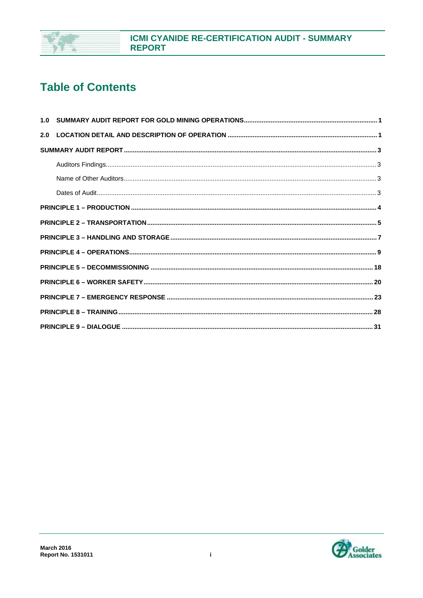

# **Table of Contents**

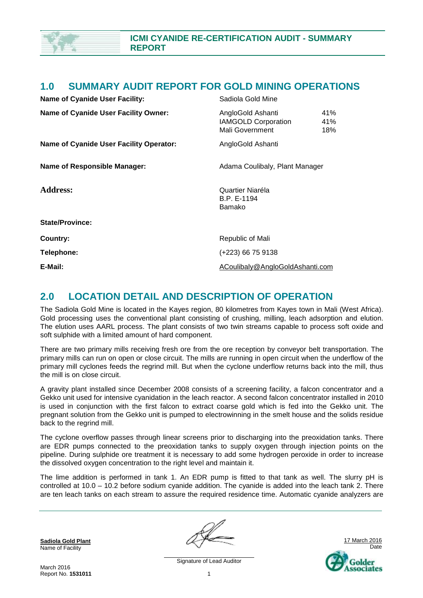

### **1.0 SUMMARY AUDIT REPORT FOR GOLD MINING OPERATIONS**

| <b>Name of Cyanide User Facility:</b>          | Sadiola Gold Mine                                                  |                                |  |
|------------------------------------------------|--------------------------------------------------------------------|--------------------------------|--|
| <b>Name of Cyanide User Facility Owner:</b>    | AngloGold Ashanti<br><b>IAMGOLD Corporation</b><br>Mali Government | 41%<br>41%<br>18%              |  |
| <b>Name of Cyanide User Facility Operator:</b> | AngloGold Ashanti                                                  |                                |  |
| <b>Name of Responsible Manager:</b>            |                                                                    | Adama Coulibaly, Plant Manager |  |
| <b>Address:</b>                                | Quartier Niaréla<br>B.P. E-1194<br>Bamako                          |                                |  |
| <b>State/Province:</b>                         |                                                                    |                                |  |
| Country:                                       | Republic of Mali                                                   |                                |  |
| Telephone:                                     | (+223) 66 75 9138                                                  |                                |  |
| E-Mail:                                        | ACoulibaly@AngloGoldAshanti.com                                    |                                |  |

### **2.0 LOCATION DETAIL AND DESCRIPTION OF OPERATION**

The Sadiola Gold Mine is located in the Kayes region, 80 kilometres from Kayes town in Mali (West Africa). Gold processing uses the conventional plant consisting of crushing, milling, leach adsorption and elution. The elution uses AARL process. The plant consists of two twin streams capable to process soft oxide and soft sulphide with a limited amount of hard component.

There are two primary mills receiving fresh ore from the ore reception by conveyor belt transportation. The primary mills can run on open or close circuit. The mills are running in open circuit when the underflow of the primary mill cyclones feeds the regrind mill. But when the cyclone underflow returns back into the mill, thus the mill is on close circuit.

A gravity plant installed since December 2008 consists of a screening facility, a falcon concentrator and a Gekko unit used for intensive cyanidation in the leach reactor. A second falcon concentrator installed in 2010 is used in conjunction with the first falcon to extract coarse gold which is fed into the Gekko unit. The pregnant solution from the Gekko unit is pumped to electrowinning in the smelt house and the solids residue back to the regrind mill.

The cyclone overflow passes through linear screens prior to discharging into the preoxidation tanks. There are EDR pumps connected to the preoxidation tanks to supply oxygen through injection points on the pipeline. During sulphide ore treatment it is necessary to add some hydrogen peroxide in order to increase the dissolved oxygen concentration to the right level and maintain it.

The lime addition is performed in tank 1. An EDR pump is fitted to that tank as well. The slurry pH is controlled at 10.0 – 10.2 before sodium cyanide addition. The cyanide is added into the leach tank 2. There are ten leach tanks on each stream to assure the required residence time. Automatic cyanide analyzers are

**Sadiola Gold Plant** Name of Facility



Signature of Lead Auditor 1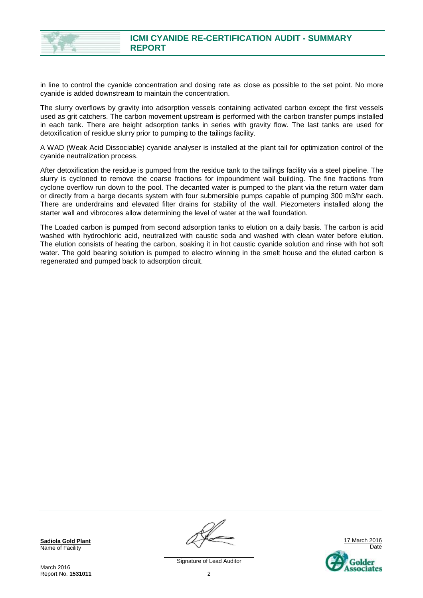

in line to control the cyanide concentration and dosing rate as close as possible to the set point. No more cyanide is added downstream to maintain the concentration.

The slurry overflows by gravity into adsorption vessels containing activated carbon except the first vessels used as grit catchers. The carbon movement upstream is performed with the carbon transfer pumps installed in each tank. There are height adsorption tanks in series with gravity flow. The last tanks are used for detoxification of residue slurry prior to pumping to the tailings facility.

A WAD (Weak Acid Dissociable) cyanide analyser is installed at the plant tail for optimization control of the cyanide neutralization process.

After detoxification the residue is pumped from the residue tank to the tailings facility via a steel pipeline. The slurry is cycloned to remove the coarse fractions for impoundment wall building. The fine fractions from cyclone overflow run down to the pool. The decanted water is pumped to the plant via the return water dam or directly from a barge decants system with four submersible pumps capable of pumping 300 m3/hr each. There are underdrains and elevated filter drains for stability of the wall. Piezometers installed along the starter wall and vibrocores allow determining the level of water at the wall foundation.

The Loaded carbon is pumped from second adsorption tanks to elution on a daily basis. The carbon is acid washed with hydrochloric acid, neutralized with caustic soda and washed with clean water before elution. The elution consists of heating the carbon, soaking it in hot caustic cyanide solution and rinse with hot soft water. The gold bearing solution is pumped to electro winning in the smelt house and the eluted carbon is regenerated and pumped back to adsorption circuit.

**Sadiola Gold Plant** Name of Facility

March 2016 Report No. **1531011**

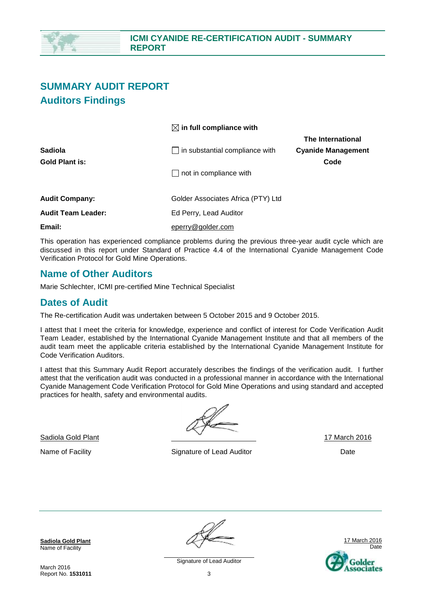

## **SUMMARY AUDIT REPORT Auditors Findings**

|                           | $\boxtimes$ in full compliance with   |                           |
|---------------------------|---------------------------------------|---------------------------|
|                           |                                       | The International         |
| Sadiola                   | $\Box$ in substantial compliance with | <b>Cyanide Management</b> |
| Gold Plant is:            |                                       | Code                      |
|                           | $\Box$ not in compliance with         |                           |
|                           |                                       |                           |
| <b>Audit Company:</b>     | Golder Associates Africa (PTY) Ltd    |                           |
| <b>Audit Team Leader:</b> | Ed Perry, Lead Auditor                |                           |
| Email:                    | eperry@golder.com                     |                           |

This operation has experienced compliance problems during the previous three-year audit cycle which are discussed in this report under Standard of Practice 4.4 of the International Cyanide Management Code Verification Protocol for Gold Mine Operations.

### **Name of Other Auditors**

Marie Schlechter, ICMI pre-certified Mine Technical Specialist

### **Dates of Audit**

The Re-certification Audit was undertaken between 5 October 2015 and 9 October 2015.

I attest that I meet the criteria for knowledge, experience and conflict of interest for Code Verification Audit Team Leader, established by the International Cyanide Management Institute and that all members of the audit team meet the applicable criteria established by the International Cyanide Management Institute for Code Verification Auditors.

I attest that this Summary Audit Report accurately describes the findings of the verification audit. I further attest that the verification audit was conducted in a professional manner in accordance with the International Cyanide Management Code Verification Protocol for Gold Mine Operations and using standard and accepted practices for health, safety and environmental audits.

Sadiola Gold Plant 17 March 2016

Name of Facility **Signature of Lead Auditor** Date **Date** Date

**Sadiola Gold Plant** Name of Facility



Signature of Lead Auditor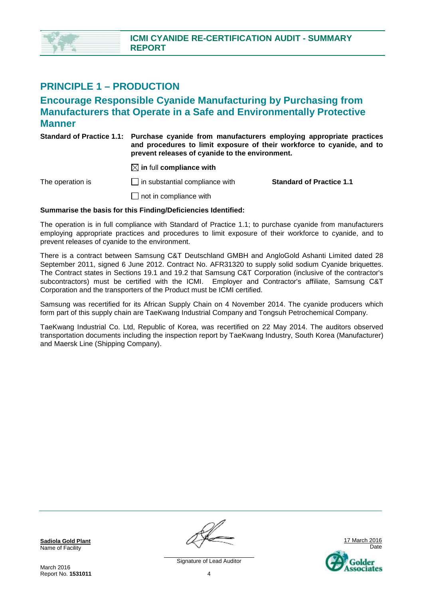

### **PRINCIPLE 1 – PRODUCTION**

### **Encourage Responsible Cyanide Manufacturing by Purchasing from Manufacturers that Operate in a Safe and Environmentally Protective Manner**

| Standard of Practice 1.1: Purchase cyanide from manufacturers employing appropriate practices |
|-----------------------------------------------------------------------------------------------|
| and procedures to limit exposure of their workforce to cyanide, and to                        |
| prevent releases of cyanide to the environment.                                               |

 $\boxtimes$  in full compliance with

The operation is in substantial compliance with **Standard of Practice 1.1** 

 $\Box$  not in compliance with

#### **Summarise the basis for this Finding/Deficiencies Identified:**

The operation is in full compliance with Standard of Practice 1.1; to purchase cyanide from manufacturers employing appropriate practices and procedures to limit exposure of their workforce to cyanide, and to prevent releases of cyanide to the environment.

There is a contract between Samsung C&T Deutschland GMBH and AngloGold Ashanti Limited dated 28 September 2011, signed 6 June 2012. Contract No. AFR31320 to supply solid sodium Cyanide briquettes. The Contract states in Sections 19.1 and 19.2 that Samsung C&T Corporation (inclusive of the contractor's subcontractors) must be certified with the ICMI. Employer and Contractor's affiliate, Samsung C&T Corporation and the transporters of the Product must be ICMI certified.

Samsung was recertified for its African Supply Chain on 4 November 2014. The cyanide producers which form part of this supply chain are TaeKwang Industrial Company and Tongsuh Petrochemical Company.

TaeKwang Industrial Co. Ltd, Republic of Korea, was recertified on 22 May 2014. The auditors observed transportation documents including the inspection report by TaeKwang Industry, South Korea (Manufacturer) and Maersk Line (Shipping Company).

**Sadiola Gold Plant** Name of Facility

March 2016 Report No. **1531011**

17 March 2016 Date **older** sociates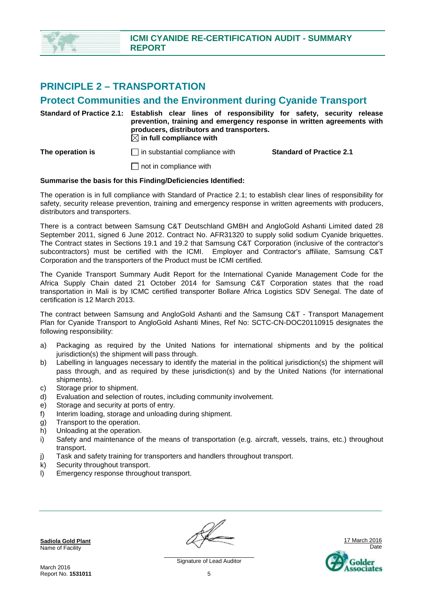

### **PRINCIPLE 2 – TRANSPORTATION**

### **Protect Communities and the Environment during Cyanide Transport**

**Standard of Practice 2.1: Establish clear lines of responsibility for safety, security release prevention, training and emergency response in written agreements with producers, distributors and transporters.**   $\boxtimes$  in full compliance with **The operation is in substantial compliance with Standard of Practice 2.1** 

 $\Box$  not in compliance with

#### **Summarise the basis for this Finding/Deficiencies Identified:**

The operation is in full compliance with Standard of Practice 2.1; to establish clear lines of responsibility for safety, security release prevention, training and emergency response in written agreements with producers, distributors and transporters.

There is a contract between Samsung C&T Deutschland GMBH and AngloGold Ashanti Limited dated 28 September 2011, signed 6 June 2012. Contract No. AFR31320 to supply solid sodium Cyanide briquettes. The Contract states in Sections 19.1 and 19.2 that Samsung C&T Corporation (inclusive of the contractor's subcontractors) must be certified with the ICMI. Employer and Contractor's affiliate, Samsung C&T Corporation and the transporters of the Product must be ICMI certified.

The Cyanide Transport Summary Audit Report for the International Cyanide Management Code for the Africa Supply Chain dated 21 October 2014 for Samsung C&T Corporation states that the road transportation in Mali is by ICMC certified transporter Bollare Africa Logistics SDV Senegal. The date of certification is 12 March 2013.

The contract between Samsung and AngloGold Ashanti and the Samsung C&T - Transport Management Plan for Cyanide Transport to AngloGold Ashanti Mines, Ref No: SCTC-CN-DOC20110915 designates the following responsibility:

- a) Packaging as required by the United Nations for international shipments and by the political jurisdiction(s) the shipment will pass through.
- b) Labelling in languages necessary to identify the material in the political jurisdiction(s) the shipment will pass through, and as required by these jurisdiction(s) and by the United Nations (for international shipments).
- c) Storage prior to shipment.
- d) Evaluation and selection of routes, including community involvement.
- e) Storage and security at ports of entry.
- f) Interim loading, storage and unloading during shipment.
- g) Transport to the operation.
- h) Unloading at the operation.
- i) Safety and maintenance of the means of transportation (e.g. aircraft, vessels, trains, etc.) throughout transport.
- j) Task and safety training for transporters and handlers throughout transport.
- k) Security throughout transport.
- l) Emergency response throughout transport.

**Sadiola Gold Plant** Name of Facility



March 2016 Report No. **1531011**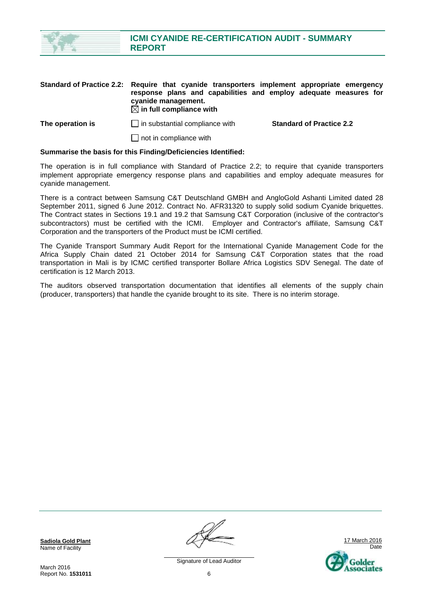

**The operation is in substantial compliance with <b>Standard of Practice 2.2** 

 $\Box$  not in compliance with

 $\boxtimes$  in full compliance with

#### **Summarise the basis for this Finding/Deficiencies Identified:**

The operation is in full compliance with Standard of Practice 2.2; to require that cyanide transporters implement appropriate emergency response plans and capabilities and employ adequate measures for cyanide management.

There is a contract between Samsung C&T Deutschland GMBH and AngloGold Ashanti Limited dated 28 September 2011, signed 6 June 2012. Contract No. AFR31320 to supply solid sodium Cyanide briquettes. The Contract states in Sections 19.1 and 19.2 that Samsung C&T Corporation (inclusive of the contractor's subcontractors) must be certified with the ICMI. Employer and Contractor's affiliate, Samsung C&T Corporation and the transporters of the Product must be ICMI certified.

The Cyanide Transport Summary Audit Report for the International Cyanide Management Code for the Africa Supply Chain dated 21 October 2014 for Samsung C&T Corporation states that the road transportation in Mali is by ICMC certified transporter Bollare Africa Logistics SDV Senegal. The date of certification is 12 March 2013.

The auditors observed transportation documentation that identifies all elements of the supply chain (producer, transporters) that handle the cyanide brought to its site. There is no interim storage.

**Sadiola Gold Plant** Name of Facility

March 2016 Report No. **1531011**

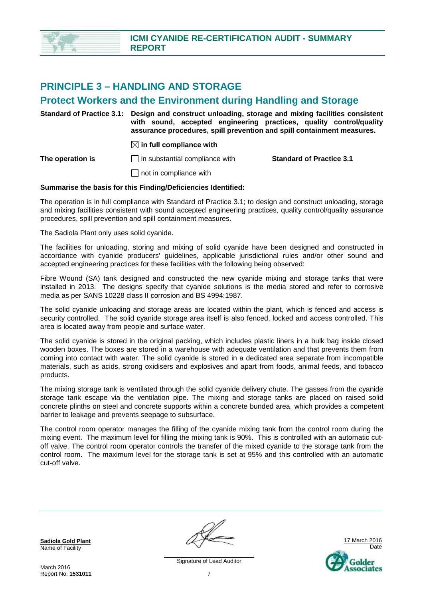

### **PRINCIPLE 3 – HANDLING AND STORAGE**

### **Protect Workers and the Environment during Handling and Storage**

**Standard of Practice 3.1: Design and construct unloading, storage and mixing facilities consistent with sound, accepted engineering practices, quality control/quality assurance procedures, spill prevention and spill containment measures.** 

 $\boxtimes$  in full compliance with

**The operation is in substantial compliance with <b>Standard of Practice 3.1 C** 

 $\Box$  not in compliance with

#### **Summarise the basis for this Finding/Deficiencies Identified:**

The operation is in full compliance with Standard of Practice 3.1; to design and construct unloading, storage and mixing facilities consistent with sound accepted engineering practices, quality control/quality assurance procedures, spill prevention and spill containment measures.

The Sadiola Plant only uses solid cyanide.

The facilities for unloading, storing and mixing of solid cyanide have been designed and constructed in accordance with cyanide producers' guidelines, applicable jurisdictional rules and/or other sound and accepted engineering practices for these facilities with the following being observed:

Fibre Wound (SA) tank designed and constructed the new cyanide mixing and storage tanks that were installed in 2013. The designs specify that cyanide solutions is the media stored and refer to corrosive media as per SANS 10228 class II corrosion and BS 4994:1987.

The solid cyanide unloading and storage areas are located within the plant, which is fenced and access is security controlled. The solid cyanide storage area itself is also fenced, locked and access controlled. This area is located away from people and surface water.

The solid cyanide is stored in the original packing, which includes plastic liners in a bulk bag inside closed wooden boxes. The boxes are stored in a warehouse with adequate ventilation and that prevents them from coming into contact with water. The solid cyanide is stored in a dedicated area separate from incompatible materials, such as acids, strong oxidisers and explosives and apart from foods, animal feeds, and tobacco products.

The mixing storage tank is ventilated through the solid cyanide delivery chute. The gasses from the cyanide storage tank escape via the ventilation pipe. The mixing and storage tanks are placed on raised solid concrete plinths on steel and concrete supports within a concrete bunded area, which provides a competent barrier to leakage and prevents seepage to subsurface.

The control room operator manages the filling of the cyanide mixing tank from the control room during the mixing event. The maximum level for filling the mixing tank is 90%. This is controlled with an automatic cutoff valve. The control room operator controls the transfer of the mixed cyanide to the storage tank from the control room. The maximum level for the storage tank is set at 95% and this controlled with an automatic cut-off valve.

**Sadiola Gold Plant** Name of Facility

17 March 2016 Date Golder senciates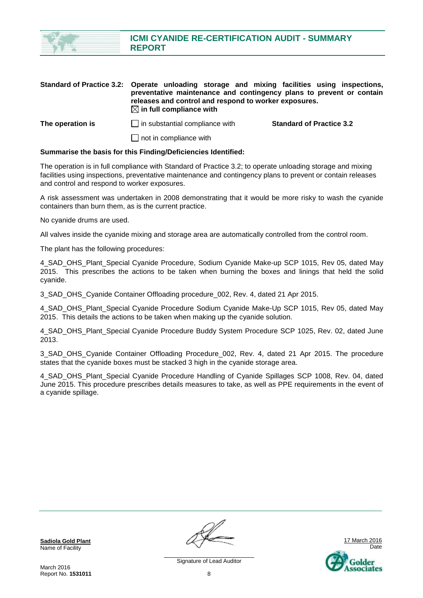

|                  | Standard of Practice 3.2: Operate unloading storage and mixing facilities using inspections,<br>preventative maintenance and contingency plans to prevent or contain<br>releases and control and respond to worker exposures.<br>$\boxtimes$ in full compliance with |                                 |
|------------------|----------------------------------------------------------------------------------------------------------------------------------------------------------------------------------------------------------------------------------------------------------------------|---------------------------------|
| The operation is | $\Box$ in substantial compliance with                                                                                                                                                                                                                                | <b>Standard of Practice 3.2</b> |
|                  | $\Box$ not in compliance with                                                                                                                                                                                                                                        |                                 |

#### **Summarise the basis for this Finding/Deficiencies Identified:**

The operation is in full compliance with Standard of Practice 3.2; to operate unloading storage and mixing facilities using inspections, preventative maintenance and contingency plans to prevent or contain releases and control and respond to worker exposures.

A risk assessment was undertaken in 2008 demonstrating that it would be more risky to wash the cyanide containers than burn them, as is the current practice.

No cyanide drums are used.

All valves inside the cyanide mixing and storage area are automatically controlled from the control room.

The plant has the following procedures:

4 SAD OHS Plant Special Cyanide Procedure, Sodium Cyanide Make-up SCP 1015, Rev 05, dated May 2015. This prescribes the actions to be taken when burning the boxes and linings that held the solid cyanide.

3\_SAD\_OHS\_Cyanide Container Offloading procedure\_002, Rev. 4, dated 21 Apr 2015.

4 SAD OHS Plant Special Cyanide Procedure Sodium Cyanide Make-Up SCP 1015, Rev 05, dated May 2015. This details the actions to be taken when making up the cyanide solution.

4\_SAD\_OHS\_Plant\_Special Cyanide Procedure Buddy System Procedure SCP 1025, Rev. 02, dated June 2013.

3 SAD OHS Cyanide Container Offloading Procedure 002, Rev. 4, dated 21 Apr 2015. The procedure states that the cyanide boxes must be stacked 3 high in the cyanide storage area.

4\_SAD\_OHS\_Plant\_Special Cyanide Procedure Handling of Cyanide Spillages SCP 1008, Rev. 04, dated June 2015. This procedure prescribes details measures to take, as well as PPE requirements in the event of a cyanide spillage.

**Sadiola Gold Plant** Name of Facility

17 March 2016 Date Golder sociates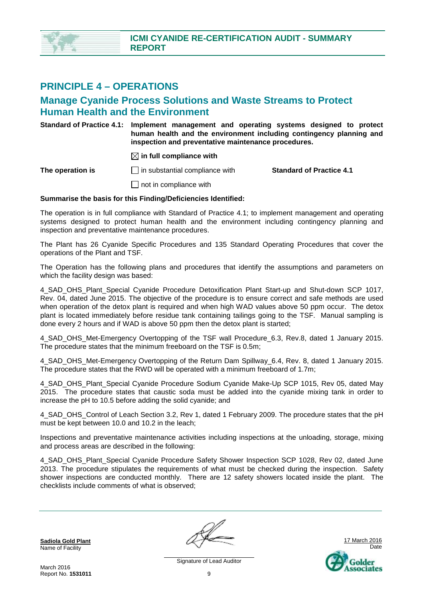### **PRINCIPLE 4 – OPERATIONS**

### **Manage Cyanide Process Solutions and Waste Streams to Protect Human Health and the Environment**

**Standard of Practice 4.1: Implement management and operating systems designed to protect human health and the environment including contingency planning and inspection and preventative maintenance procedures.** 

 $\boxtimes$  in full compliance with

**The operation is** in substantial compliance with **Standard of Practice 4.1** 

 $\Box$  not in compliance with

#### **Summarise the basis for this Finding/Deficiencies Identified:**

The operation is in full compliance with Standard of Practice 4.1; to implement management and operating systems designed to protect human health and the environment including contingency planning and inspection and preventative maintenance procedures.

The Plant has 26 Cyanide Specific Procedures and 135 Standard Operating Procedures that cover the operations of the Plant and TSF.

The Operation has the following plans and procedures that identify the assumptions and parameters on which the facility design was based:

4\_SAD\_OHS\_Plant\_Special Cyanide Procedure Detoxification Plant Start-up and Shut-down SCP 1017, Rev. 04, dated June 2015. The objective of the procedure is to ensure correct and safe methods are used when operation of the detox plant is required and when high WAD values above 50 ppm occur. The detox plant is located immediately before residue tank containing tailings going to the TSF. Manual sampling is done every 2 hours and if WAD is above 50 ppm then the detox plant is started;

4 SAD OHS Met-Emergency Overtopping of the TSF wall Procedure 6.3, Rev.8, dated 1 January 2015. The procedure states that the minimum freeboard on the TSF is 0.5m;

4\_SAD\_OHS\_Met-Emergency Overtopping of the Return Dam Spillway\_6.4, Rev. 8, dated 1 January 2015. The procedure states that the RWD will be operated with a minimum freeboard of 1.7m;

4\_SAD\_OHS\_Plant\_Special Cyanide Procedure Sodium Cyanide Make-Up SCP 1015, Rev 05, dated May 2015. The procedure states that caustic soda must be added into the cyanide mixing tank in order to increase the pH to 10.5 before adding the solid cyanide; and

4\_SAD\_OHS\_Control of Leach Section 3.2, Rev 1, dated 1 February 2009. The procedure states that the pH must be kept between 10.0 and 10.2 in the leach;

Inspections and preventative maintenance activities including inspections at the unloading, storage, mixing and process areas are described in the following:

4\_SAD\_OHS\_Plant\_Special Cyanide Procedure Safety Shower Inspection SCP 1028, Rev 02, dated June 2013. The procedure stipulates the requirements of what must be checked during the inspection. Safety shower inspections are conducted monthly. There are 12 safety showers located inside the plant. The checklists include comments of what is observed;

**Sadiola Gold Plant** Name of Facility

March 2016 Report No. **1531011**

9

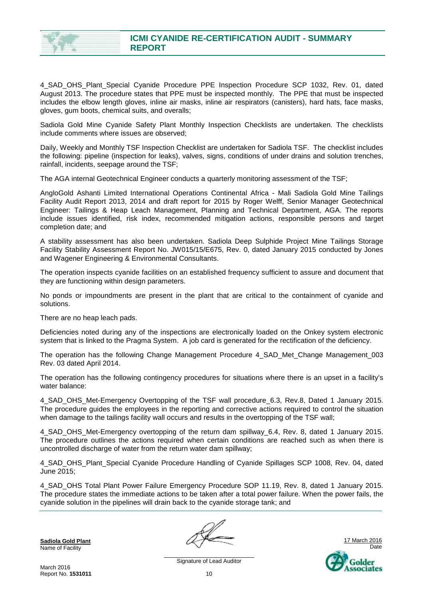

4\_SAD\_OHS\_Plant\_Special Cyanide Procedure PPE Inspection Procedure SCP 1032, Rev. 01, dated August 2013. The procedure states that PPE must be inspected monthly. The PPE that must be inspected includes the elbow length gloves, inline air masks, inline air respirators (canisters), hard hats, face masks, gloves, gum boots, chemical suits, and overalls;

Sadiola Gold Mine Cyanide Safety Plant Monthly Inspection Checklists are undertaken. The checklists include comments where issues are observed;

Daily, Weekly and Monthly TSF Inspection Checklist are undertaken for Sadiola TSF. The checklist includes the following: pipeline (inspection for leaks), valves, signs, conditions of under drains and solution trenches, rainfall, incidents, seepage around the TSF;

The AGA internal Geotechnical Engineer conducts a quarterly monitoring assessment of the TSF;

AngloGold Ashanti Limited International Operations Continental Africa - Mali Sadiola Gold Mine Tailings Facility Audit Report 2013, 2014 and draft report for 2015 by Roger Welff, Senior Manager Geotechnical Engineer: Tailings & Heap Leach Management, Planning and Technical Department, AGA. The reports include issues identified, risk index, recommended mitigation actions, responsible persons and target completion date; and

A stability assessment has also been undertaken. Sadiola Deep Sulphide Project Mine Tailings Storage Facility Stability Assessment Report No. JW015/15/E675, Rev. 0, dated January 2015 conducted by Jones and Wagener Engineering & Environmental Consultants.

The operation inspects cyanide facilities on an established frequency sufficient to assure and document that they are functioning within design parameters.

No ponds or impoundments are present in the plant that are critical to the containment of cyanide and solutions.

There are no heap leach pads.

Deficiencies noted during any of the inspections are electronically loaded on the Onkey system electronic system that is linked to the Pragma System. A job card is generated for the rectification of the deficiency.

The operation has the following Change Management Procedure 4\_SAD\_Met\_Change Management\_003 Rev. 03 dated April 2014.

The operation has the following contingency procedures for situations where there is an upset in a facility's water balance:

4 SAD OHS Met-Emergency Overtopping of the TSF wall procedure 6.3, Rev.8, Dated 1 January 2015. The procedure guides the employees in the reporting and corrective actions required to control the situation when damage to the tailings facility wall occurs and results in the overtopping of the TSF wall;

4 SAD OHS Met-Emergency overtopping of the return dam spillway 6.4, Rev. 8, dated 1 January 2015. The procedure outlines the actions required when certain conditions are reached such as when there is uncontrolled discharge of water from the return water dam spillway;

4 SAD OHS Plant Special Cyanide Procedure Handling of Cyanide Spillages SCP 1008, Rev. 04, dated June 2015;

4\_SAD\_OHS Total Plant Power Failure Emergency Procedure SOP 11.19, Rev. 8, dated 1 January 2015. The procedure states the immediate actions to be taken after a total power failure. When the power fails, the cyanide solution in the pipelines will drain back to the cyanide storage tank; and

**Sadiola Gold Plant** Name of Facility

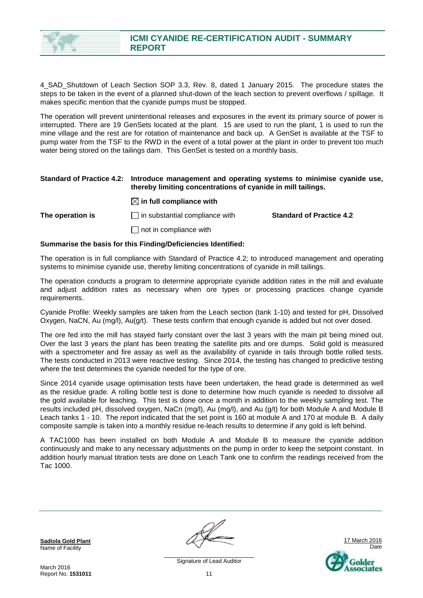

4\_SAD\_Shutdown of Leach Section SOP 3.3, Rev. 8, dated 1 January 2015. The procedure states the steps to be taken in the event of a planned shut-down of the leach section to prevent overflows / spillage. It makes specific mention that the cyanide pumps must be stopped.

The operation will prevent unintentional releases and exposures in the event its primary source of power is interrupted. There are 19 GenSets located at the plant. 15 are used to run the plant, 1 is used to run the mine village and the rest are for rotation of maintenance and back up. A GenSet is available at the TSF to pump water from the TSF to the RWD in the event of a total power at the plant in order to prevent too much water being stored on the tailings dam. This GenSet is tested on a monthly basis.

#### **Standard of Practice 4.2: Introduce management and operating systems to minimise cyanide use, thereby limiting concentrations of cyanide in mill tailings.**

#### $\boxtimes$  in full compliance with

**The operation is** in substantial compliance with **Standard of Practice 4.2** 

 $\Box$  not in compliance with

#### **Summarise the basis for this Finding/Deficiencies Identified:**

The operation is in full compliance with Standard of Practice 4.2; to introduced management and operating systems to minimise cyanide use, thereby limiting concentrations of cyanide in mill tailings.

The operation conducts a program to determine appropriate cyanide addition rates in the mill and evaluate and adjust addition rates as necessary when ore types or processing practices change cyanide requirements.

Cyanide Profile: Weekly samples are taken from the Leach section (tank 1-10) and tested for pH, Dissolved Oxygen, NaCN, Au (mg/l), Au(g/t). These tests confirm that enough cyanide is added but not over dosed.

The ore fed into the mill has stayed fairly constant over the last 3 years with the main pit being mined out. Over the last 3 years the plant has been treating the satellite pits and ore dumps. Solid gold is measured with a spectrometer and fire assay as well as the availability of cyanide in tails through bottle rolled tests. The tests conducted in 2013 were reactive testing. Since 2014, the testing has changed to predictive testing where the test determines the cyanide needed for the type of ore.

Since 2014 cyanide usage optimisation tests have been undertaken, the head grade is determined as well as the residue grade. A rolling bottle test is done to determine how much cyanide is needed to dissolve all the gold available for leaching. This test is done once a month in addition to the weekly sampling test. The results included pH, dissolved oxygen, NaCn (mg/l), Au (mg/l), and Au (g/t) for both Module A and Module B Leach tanks 1 - 10. The report indicated that the set point is 160 at module A and 170 at module B. A daily composite sample is taken into a monthly residue re-leach results to determine if any gold is left behind.

A TAC1000 has been installed on both Module A and Module B to measure the cyanide addition continuously and make to any necessary adjustments on the pump in order to keep the setpoint constant. In addition hourly manual titration tests are done on Leach Tank one to confirm the readings received from the Tac 1000.

**Sadiola Gold Plant** Name of Facility

17 March 2016 Date Golder ssociates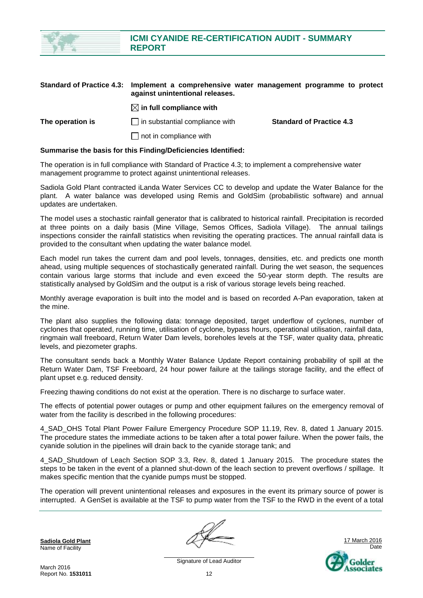

|                  | Standard of Practice 4.5. Thiplement a complementive water management programme to protect<br>against unintentional releases. |                                 |  |
|------------------|-------------------------------------------------------------------------------------------------------------------------------|---------------------------------|--|
|                  | $\boxtimes$ in full compliance with                                                                                           |                                 |  |
| The operation is | $\Box$ in substantial compliance with                                                                                         | <b>Standard of Practice 4.3</b> |  |
|                  | $\Box$ not in compliance with                                                                                                 |                                 |  |

#### **Summarise the basis for this Finding/Deficiencies Identified:**

The operation is in full compliance with Standard of Practice 4.3; to implement a comprehensive water management programme to protect against unintentional releases.

Sadiola Gold Plant contracted iLanda Water Services CC to develop and update the Water Balance for the plant. A water balance was developed using Remis and GoldSim (probabilistic software) and annual updates are undertaken.

The model uses a stochastic rainfall generator that is calibrated to historical rainfall. Precipitation is recorded at three points on a daily basis (Mine Village, Semos Offices, Sadiola Village). The annual tailings inspections consider the rainfall statistics when revisiting the operating practices. The annual rainfall data is provided to the consultant when updating the water balance model.

Each model run takes the current dam and pool levels, tonnages, densities, etc. and predicts one month ahead, using multiple sequences of stochastically generated rainfall. During the wet season, the sequences contain various large storms that include and even exceed the 50-year storm depth. The results are statistically analysed by GoldSim and the output is a risk of various storage levels being reached.

Monthly average evaporation is built into the model and is based on recorded A-Pan evaporation, taken at the mine.

The plant also supplies the following data: tonnage deposited, target underflow of cyclones, number of cyclones that operated, running time, utilisation of cyclone, bypass hours, operational utilisation, rainfall data, ringmain wall freeboard, Return Water Dam levels, boreholes levels at the TSF, water quality data, phreatic levels, and piezometer graphs.

The consultant sends back a Monthly Water Balance Update Report containing probability of spill at the Return Water Dam, TSF Freeboard, 24 hour power failure at the tailings storage facility, and the effect of plant upset e.g. reduced density.

Freezing thawing conditions do not exist at the operation. There is no discharge to surface water.

The effects of potential power outages or pump and other equipment failures on the emergency removal of water from the facility is described in the following procedures:

4\_SAD\_OHS Total Plant Power Failure Emergency Procedure SOP 11.19, Rev. 8, dated 1 January 2015. The procedure states the immediate actions to be taken after a total power failure. When the power fails, the cyanide solution in the pipelines will drain back to the cyanide storage tank; and

4\_SAD\_Shutdown of Leach Section SOP 3.3, Rev. 8, dated 1 January 2015. The procedure states the steps to be taken in the event of a planned shut-down of the leach section to prevent overflows / spillage. It makes specific mention that the cyanide pumps must be stopped.

The operation will prevent unintentional releases and exposures in the event its primary source of power is interrupted. A GenSet is available at the TSF to pump water from the TSF to the RWD in the event of a total

**Sadiola Gold Plant** Name of Facility

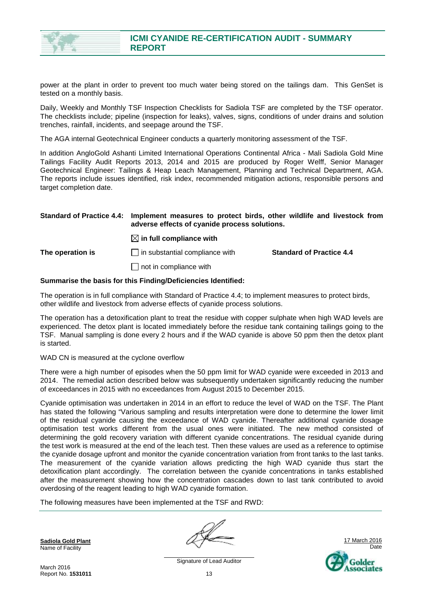

power at the plant in order to prevent too much water being stored on the tailings dam. This GenSet is tested on a monthly basis.

Daily, Weekly and Monthly TSF Inspection Checklists for Sadiola TSF are completed by the TSF operator. The checklists include; pipeline (inspection for leaks), valves, signs, conditions of under drains and solution trenches, rainfall, incidents, and seepage around the TSF.

The AGA internal Geotechnical Engineer conducts a quarterly monitoring assessment of the TSF.

In addition AngloGold Ashanti Limited International Operations Continental Africa - Mali Sadiola Gold Mine Tailings Facility Audit Reports 2013, 2014 and 2015 are produced by Roger Welff, Senior Manager Geotechnical Engineer: Tailings & Heap Leach Management, Planning and Technical Department, AGA. The reports include issues identified, risk index, recommended mitigation actions, responsible persons and target completion date.

#### **Standard of Practice 4.4: Implement measures to protect birds, other wildlife and livestock from adverse effects of cyanide process solutions.**

 $\boxtimes$  in full compliance with

**The operation is in substantial compliance with <b>Standard of Practice 4.4** 

 $\Box$  not in compliance with

#### **Summarise the basis for this Finding/Deficiencies Identified:**

The operation is in full compliance with Standard of Practice 4.4; to implement measures to protect birds, other wildlife and livestock from adverse effects of cyanide process solutions.

The operation has a detoxification plant to treat the residue with copper sulphate when high WAD levels are experienced. The detox plant is located immediately before the residue tank containing tailings going to the TSF. Manual sampling is done every 2 hours and if the WAD cyanide is above 50 ppm then the detox plant is started.

WAD CN is measured at the cyclone overflow

There were a high number of episodes when the 50 ppm limit for WAD cyanide were exceeded in 2013 and 2014. The remedial action described below was subsequently undertaken significantly reducing the number of exceedances in 2015 with no exceedances from August 2015 to December 2015.

Cyanide optimisation was undertaken in 2014 in an effort to reduce the level of WAD on the TSF. The Plant has stated the following "Various sampling and results interpretation were done to determine the lower limit of the residual cyanide causing the exceedance of WAD cyanide. Thereafter additional cyanide dosage optimisation test works different from the usual ones were initiated. The new method consisted of determining the gold recovery variation with different cyanide concentrations. The residual cyanide during the test work is measured at the end of the leach test. Then these values are used as a reference to optimise the cyanide dosage upfront and monitor the cyanide concentration variation from front tanks to the last tanks. The measurement of the cyanide variation allows predicting the high WAD cyanide thus start the detoxification plant accordingly. The correlation between the cyanide concentrations in tanks established after the measurement showing how the concentration cascades down to last tank contributed to avoid overdosing of the reagent leading to high WAD cyanide formation.

The following measures have been implemented at the TSF and RWD:

**Sadiola Gold Plant** Name of Facility



March 2016 Report No. **1531011**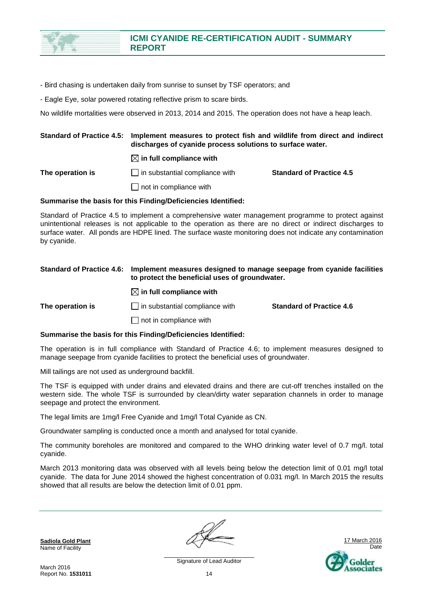

- Bird chasing is undertaken daily from sunrise to sunset by TSF operators; and

- Eagle Eye, solar powered rotating reflective prism to scare birds.

No wildlife mortalities were observed in 2013, 2014 and 2015. The operation does not have a heap leach.

#### **Standard of Practice 4.5: Implement measures to protect fish and wildlife from direct and indirect discharges of cyanide process solutions to surface water.**

 $\boxtimes$  in full compliance with

**The operation is in substantial compliance with <b>Standard of Practice 4.5 C** 

 $\Box$  not in compliance with

#### **Summarise the basis for this Finding/Deficiencies Identified:**

Standard of Practice 4.5 to implement a comprehensive water management programme to protect against unintentional releases is not applicable to the operation as there are no direct or indirect discharges to surface water. All ponds are HDPE lined. The surface waste monitoring does not indicate any contamination by cyanide.

#### **Standard of Practice 4.6: Implement measures designed to manage seepage from cyanide facilities to protect the beneficial uses of groundwater.**

 $\boxtimes$  in full compliance with

**The operation is** in substantial compliance with **Standard of Practice 4.6** 

 $\Box$  not in compliance with

#### **Summarise the basis for this Finding/Deficiencies Identified:**

The operation is in full compliance with Standard of Practice 4.6; to implement measures designed to manage seepage from cyanide facilities to protect the beneficial uses of groundwater.

Mill tailings are not used as underground backfill.

The TSF is equipped with under drains and elevated drains and there are cut-off trenches installed on the western side. The whole TSF is surrounded by clean/dirty water separation channels in order to manage seepage and protect the environment.

The legal limits are 1mg/l Free Cyanide and 1mg/l Total Cyanide as CN.

Groundwater sampling is conducted once a month and analysed for total cyanide.

The community boreholes are monitored and compared to the WHO drinking water level of 0.7 mg/l. total cyanide.

March 2013 monitoring data was observed with all levels being below the detection limit of 0.01 mg/l total cyanide. The data for June 2014 showed the highest concentration of 0.031 mg/l. In March 2015 the results showed that all results are below the detection limit of 0.01 ppm.

**Sadiola Gold Plant** Name of Facility

March 2016 Report No. **1531011**

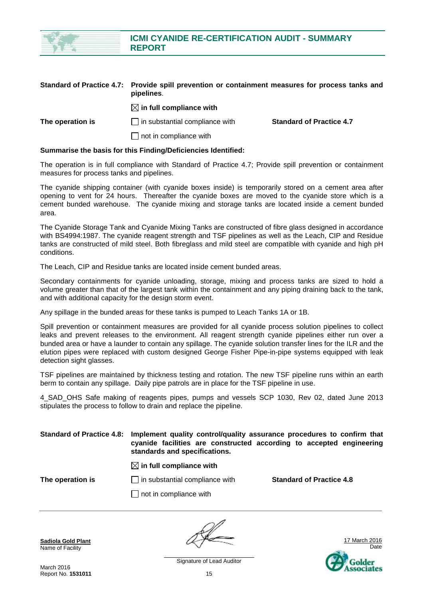

|                  | Standard of Practice 4.7: Provide spill prevention or containment measures for process tanks and<br>pipelines. |                                 |  |
|------------------|----------------------------------------------------------------------------------------------------------------|---------------------------------|--|
|                  | $\boxtimes$ in full compliance with                                                                            |                                 |  |
| The operation is | $\Box$ in substantial compliance with                                                                          | <b>Standard of Practice 4.7</b> |  |
|                  | $\Box$ not in compliance with                                                                                  |                                 |  |

#### **Summarise the basis for this Finding/Deficiencies Identified:**

The operation is in full compliance with Standard of Practice 4.7; Provide spill prevention or containment measures for process tanks and pipelines.

The cyanide shipping container (with cyanide boxes inside) is temporarily stored on a cement area after opening to vent for 24 hours. Thereafter the cyanide boxes are moved to the cyanide store which is a cement bunded warehouse. The cyanide mixing and storage tanks are located inside a cement bunded area.

The Cyanide Storage Tank and Cyanide Mixing Tanks are constructed of fibre glass designed in accordance with BS4994:1987. The cyanide reagent strength and TSF pipelines as well as the Leach, CIP and Residue tanks are constructed of mild steel. Both fibreglass and mild steel are compatible with cyanide and high pH conditions.

The Leach, CIP and Residue tanks are located inside cement bunded areas.

Secondary containments for cyanide unloading, storage, mixing and process tanks are sized to hold a volume greater than that of the largest tank within the containment and any piping draining back to the tank, and with additional capacity for the design storm event.

Any spillage in the bunded areas for these tanks is pumped to Leach Tanks 1A or 1B.

Spill prevention or containment measures are provided for all cyanide process solution pipelines to collect leaks and prevent releases to the environment. All reagent strength cyanide pipelines either run over a bunded area or have a launder to contain any spillage. The cyanide solution transfer lines for the ILR and the elution pipes were replaced with custom designed George Fisher Pipe-in-pipe systems equipped with leak detection sight glasses.

TSF pipelines are maintained by thickness testing and rotation. The new TSF pipeline runs within an earth berm to contain any spillage. Daily pipe patrols are in place for the TSF pipeline in use.

4\_SAD\_OHS Safe making of reagents pipes, pumps and vessels SCP 1030, Rev 02, dated June 2013 stipulates the process to follow to drain and replace the pipeline.

#### **Standard of Practice 4.8: Implement quality control/quality assurance procedures to confirm that cyanide facilities are constructed according to accepted engineering standards and specifications.**

#### $\boxtimes$  in full compliance with

**The operation is in substantial compliance with <b>Standard of Practice 4.8** 

 $\Box$  not in compliance with

**Sadiola Gold Plant** Name of Facility



Signature of Lead Auditor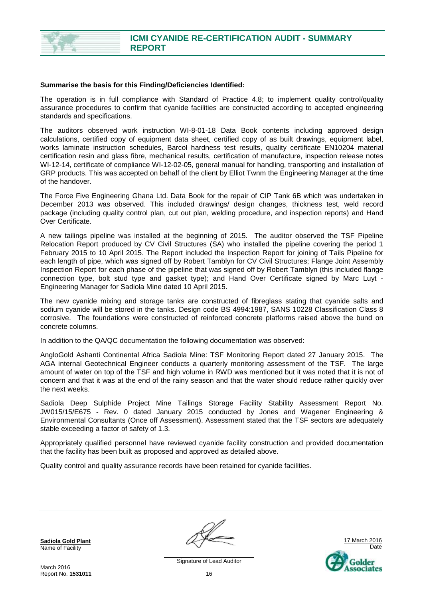

#### **Summarise the basis for this Finding/Deficiencies Identified:**

The operation is in full compliance with Standard of Practice 4.8; to implement quality control/quality assurance procedures to confirm that cyanide facilities are constructed according to accepted engineering standards and specifications.

The auditors observed work instruction WI-8-01-18 Data Book contents including approved design calculations, certified copy of equipment data sheet, certified copy of as built drawings, equipment label, works laminate instruction schedules, Barcol hardness test results, quality certificate EN10204 material certification resin and glass fibre, mechanical results, certification of manufacture, inspection release notes WI-12-14, certificate of compliance WI-12-02-05, general manual for handling, transporting and installation of GRP products. This was accepted on behalf of the client by Elliot Twnm the Engineering Manager at the time of the handover.

The Force Five Engineering Ghana Ltd. Data Book for the repair of CIP Tank 6B which was undertaken in December 2013 was observed. This included drawings/ design changes, thickness test, weld record package (including quality control plan, cut out plan, welding procedure, and inspection reports) and Hand Over Certificate.

A new tailings pipeline was installed at the beginning of 2015. The auditor observed the TSF Pipeline Relocation Report produced by CV Civil Structures (SA) who installed the pipeline covering the period 1 February 2015 to 10 April 2015. The Report included the Inspection Report for joining of Tails Pipeline for each length of pipe, which was signed off by Robert Tamblyn for CV Civil Structures; Flange Joint Assembly Inspection Report for each phase of the pipeline that was signed off by Robert Tamblyn (this included flange connection type, bolt stud type and gasket type); and Hand Over Certificate signed by Marc Luyt - Engineering Manager for Sadiola Mine dated 10 April 2015.

The new cyanide mixing and storage tanks are constructed of fibreglass stating that cyanide salts and sodium cyanide will be stored in the tanks. Design code BS 4994:1987, SANS 10228 Classification Class 8 corrosive. The foundations were constructed of reinforced concrete platforms raised above the bund on concrete columns.

In addition to the QA/QC documentation the following documentation was observed:

AngloGold Ashanti Continental Africa Sadiola Mine: TSF Monitoring Report dated 27 January 2015. The AGA internal Geotechnical Engineer conducts a quarterly monitoring assessment of the TSF. The large amount of water on top of the TSF and high volume in RWD was mentioned but it was noted that it is not of concern and that it was at the end of the rainy season and that the water should reduce rather quickly over the next weeks.

Sadiola Deep Sulphide Project Mine Tailings Storage Facility Stability Assessment Report No. JW015/15/E675 - Rev. 0 dated January 2015 conducted by Jones and Wagener Engineering & Environmental Consultants (Once off Assessment). Assessment stated that the TSF sectors are adequately stable exceeding a factor of safety of 1.3.

Appropriately qualified personnel have reviewed cyanide facility construction and provided documentation that the facility has been built as proposed and approved as detailed above.

Quality control and quality assurance records have been retained for cyanide facilities.

**Sadiola Gold Plant** Name of Facility

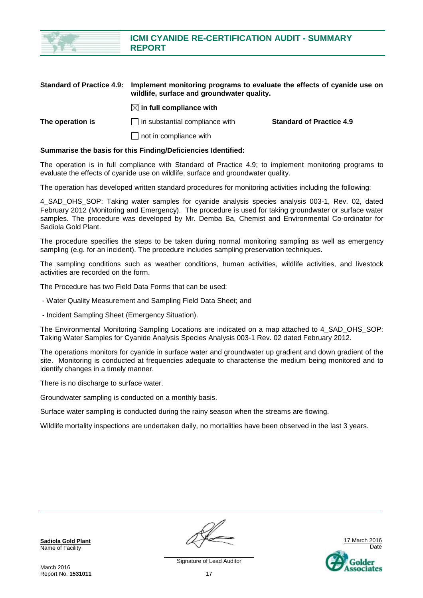|                                  | <b>REPORT</b>                                                                                                         |                                 |
|----------------------------------|-----------------------------------------------------------------------------------------------------------------------|---------------------------------|
|                                  |                                                                                                                       |                                 |
| <b>Standard of Practice 4.9:</b> | Implement monitoring programs to evaluate the effects of cyanide use on<br>wildlife, surface and groundwater quality. |                                 |
|                                  | $\boxtimes$ in full compliance with                                                                                   |                                 |
| The operation is                 | $\Box$ in substantial compliance with                                                                                 | <b>Standard of Practice 4.9</b> |

**ICMI CYANIDE RE-CERTIFICATION AUDIT - SUMMARY** 

 $\Box$  not in compliance with

#### **Summarise the basis for this Finding/Deficiencies Identified:**

The operation is in full compliance with Standard of Practice 4.9; to implement monitoring programs to evaluate the effects of cyanide use on wildlife, surface and groundwater quality.

The operation has developed written standard procedures for monitoring activities including the following:

4 SAD OHS SOP: Taking water samples for cyanide analysis species analysis 003-1, Rev. 02, dated February 2012 (Monitoring and Emergency). The procedure is used for taking groundwater or surface water samples. The procedure was developed by Mr. Demba Ba, Chemist and Environmental Co-ordinator for Sadiola Gold Plant.

The procedure specifies the steps to be taken during normal monitoring sampling as well as emergency sampling (e.g. for an incident). The procedure includes sampling preservation techniques.

The sampling conditions such as weather conditions, human activities, wildlife activities, and livestock activities are recorded on the form.

The Procedure has two Field Data Forms that can be used:

- Water Quality Measurement and Sampling Field Data Sheet; and

- Incident Sampling Sheet (Emergency Situation).

The Environmental Monitoring Sampling Locations are indicated on a map attached to 4\_SAD\_OHS\_SOP: Taking Water Samples for Cyanide Analysis Species Analysis 003-1 Rev. 02 dated February 2012.

The operations monitors for cyanide in surface water and groundwater up gradient and down gradient of the site. Monitoring is conducted at frequencies adequate to characterise the medium being monitored and to identify changes in a timely manner.

There is no discharge to surface water.

Groundwater sampling is conducted on a monthly basis.

Surface water sampling is conducted during the rainy season when the streams are flowing.

Wildlife mortality inspections are undertaken daily, no mortalities have been observed in the last 3 years.

**Sadiola Gold Plant** Name of Facility



Signature of Lead Auditor 17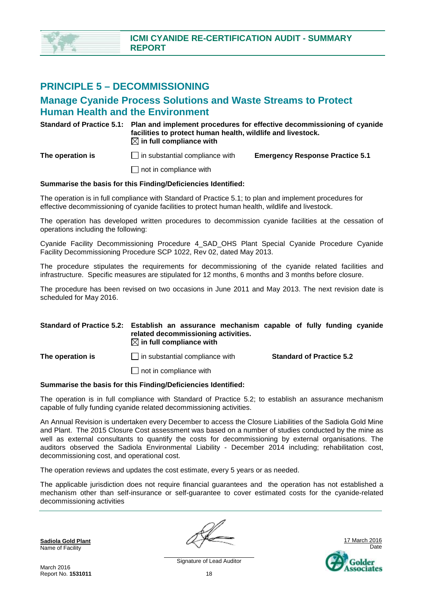### **PRINCIPLE 5 – DECOMMISSIONING**

### **Manage Cyanide Process Solutions and Waste Streams to Protect Human Health and the Environment**

**Standard of Practice 5.1: Plan and implement procedures for effective decommissioning of cyanide facilities to protect human health, wildlife and livestock.**   $\boxtimes$  in full compliance with

**The operation is** in substantial compliance with **Emergency Response Practice 5.1** 

 $\Box$  not in compliance with

#### **Summarise the basis for this Finding/Deficiencies Identified:**

The operation is in full compliance with Standard of Practice 5.1; to plan and implement procedures for effective decommissioning of cyanide facilities to protect human health, wildlife and livestock.

The operation has developed written procedures to decommission cyanide facilities at the cessation of operations including the following:

Cyanide Facility Decommissioning Procedure 4\_SAD\_OHS Plant Special Cyanide Procedure Cyanide Facility Decommissioning Procedure SCP 1022, Rev 02, dated May 2013.

The procedure stipulates the requirements for decommissioning of the cyanide related facilities and infrastructure. Specific measures are stipulated for 12 months, 6 months and 3 months before closure.

The procedure has been revised on two occasions in June 2011 and May 2013. The next revision date is scheduled for May 2016.

#### **Standard of Practice 5.2: Establish an assurance mechanism capable of fully funding cyanide related decommissioning activities.**   $\boxtimes$  in full compliance with

**The operation is in substantial compliance with <b>Standard of Practice 5.2 C** 

 $\Box$  not in compliance with

#### **Summarise the basis for this Finding/Deficiencies Identified:**

The operation is in full compliance with Standard of Practice 5.2; to establish an assurance mechanism capable of fully funding cyanide related decommissioning activities.

An Annual Revision is undertaken every December to access the Closure Liabilities of the Sadiola Gold Mine and Plant. The 2015 Closure Cost assessment was based on a number of studies conducted by the mine as well as external consultants to quantify the costs for decommissioning by external organisations. The auditors observed the Sadiola Environmental Liability - December 2014 including; rehabilitation cost, decommissioning cost, and operational cost.

The operation reviews and updates the cost estimate, every 5 years or as needed.

The applicable jurisdiction does not require financial guarantees and the operation has not established a mechanism other than self-insurance or self-guarantee to cover estimated costs for the cyanide-related decommissioning activities

**Sadiola Gold Plant** Name of Facility

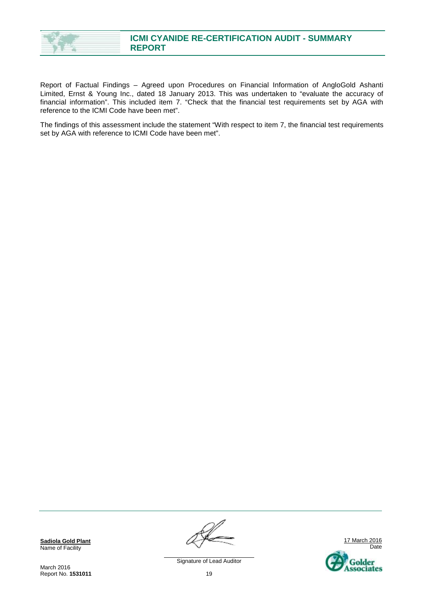

Report of Factual Findings – Agreed upon Procedures on Financial Information of AngloGold Ashanti Limited, Ernst & Young Inc., dated 18 January 2013. This was undertaken to "evaluate the accuracy of financial information". This included item 7. "Check that the financial test requirements set by AGA with reference to the ICMI Code have been met".

The findings of this assessment include the statement "With respect to item 7, the financial test requirements set by AGA with reference to ICMI Code have been met".

**Sadiola Gold Plant** Name of Facility

March 2016 Report No. **1531011**

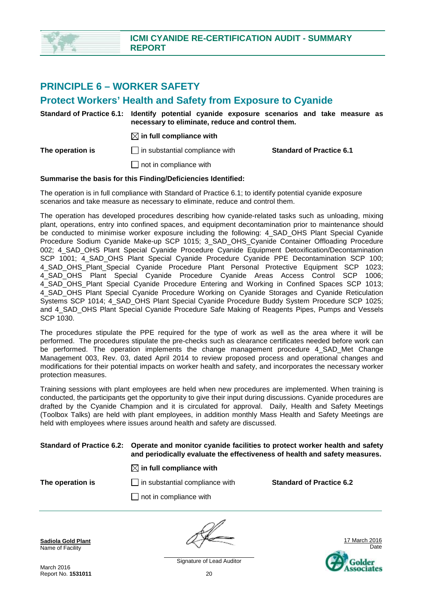

### **PRINCIPLE 6 – WORKER SAFETY**

### **Protect Workers' Health and Safety from Exposure to Cyanide**

| Standard of Practice 6.1: Identify potential cyanide exposure scenarios and take measure as<br>necessary to eliminate, reduce and control them. |                                 |
|-------------------------------------------------------------------------------------------------------------------------------------------------|---------------------------------|
| $\boxtimes$ in full compliance with                                                                                                             |                                 |
| $\Box$ in substantial compliance with                                                                                                           | <b>Standard of Practice 6.1</b> |
| $\Box$ not in compliance with                                                                                                                   |                                 |
|                                                                                                                                                 |                                 |

#### **Summarise the basis for this Finding/Deficiencies Identified:**

The operation is in full compliance with Standard of Practice 6.1; to identify potential cyanide exposure scenarios and take measure as necessary to eliminate, reduce and control them.

The operation has developed procedures describing how cyanide-related tasks such as unloading, mixing plant, operations, entry into confined spaces, and equipment decontamination prior to maintenance should be conducted to minimise worker exposure including the following: 4 SAD OHS Plant Special Cyanide Procedure Sodium Cyanide Make-up SCP 1015; 3\_SAD\_OHS\_Cyanide Container Offloading Procedure 002; 4\_SAD\_OHS Plant Special Cyanide Procedure Cyanide Equipment Detoxification/Decontamination SCP 1001; 4\_SAD\_OHS Plant Special Cyanide Procedure Cyanide PPE Decontamination SCP 100; 4\_SAD\_OHS\_Plant\_Special Cyanide Procedure Plant Personal Protective Equipment SCP 1023; 4\_SAD\_OHS Plant Special Cyanide Procedure Cyanide Areas Access Control SCP 1006; 4 SAD OHS Plant Special Cyanide Procedure Entering and Working in Confined Spaces SCP 1013; 4 SAD OHS Plant Special Cyanide Procedure Working on Cyanide Storages and Cyanide Reticulation Systems SCP 1014; 4\_SAD\_OHS Plant Special Cyanide Procedure Buddy System Procedure SCP 1025; and 4 SAD OHS Plant Special Cyanide Procedure Safe Making of Reagents Pipes, Pumps and Vessels SCP 1030.

The procedures stipulate the PPE required for the type of work as well as the area where it will be performed. The procedures stipulate the pre-checks such as clearance certificates needed before work can be performed. The operation implements the change management procedure 4\_SAD\_Met Change Management 003, Rev. 03, dated April 2014 to review proposed process and operational changes and modifications for their potential impacts on worker health and safety, and incorporates the necessary worker protection measures.

Training sessions with plant employees are held when new procedures are implemented. When training is conducted, the participants get the opportunity to give their input during discussions. Cyanide procedures are drafted by the Cyanide Champion and it is circulated for approval. Daily, Health and Safety Meetings (Toolbox Talks) are held with plant employees, in addition monthly Mass Health and Safety Meetings are held with employees where issues around health and safety are discussed.

#### **Standard of Practice 6.2: Operate and monitor cyanide facilities to protect worker health and safety and periodically evaluate the effectiveness of health and safety measures.**

#### $\boxtimes$  in full compliance with

 $\Box$  not in compliance with

**The operation is in substantial compliance with <b>Standard of Practice 6.2** 

**Sadiola Gold Plant** Name of Facility



March 2016 Report No. **1531011**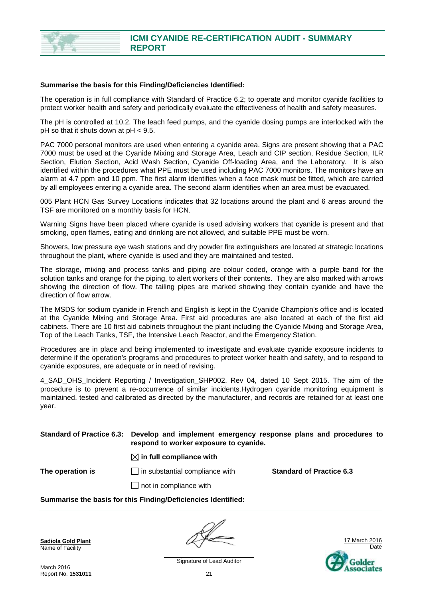

#### **Summarise the basis for this Finding/Deficiencies Identified:**

The operation is in full compliance with Standard of Practice 6.2; to operate and monitor cyanide facilities to protect worker health and safety and periodically evaluate the effectiveness of health and safety measures.

The pH is controlled at 10.2. The leach feed pumps, and the cyanide dosing pumps are interlocked with the pH so that it shuts down at pH < 9.5.

PAC 7000 personal monitors are used when entering a cyanide area. Signs are present showing that a PAC 7000 must be used at the Cyanide Mixing and Storage Area, Leach and CIP section, Residue Section, ILR Section, Elution Section, Acid Wash Section, Cyanide Off-loading Area, and the Laboratory. It is also identified within the procedures what PPE must be used including PAC 7000 monitors. The monitors have an alarm at 4.7 ppm and 10 ppm. The first alarm identifies when a face mask must be fitted, which are carried by all employees entering a cyanide area. The second alarm identifies when an area must be evacuated.

005 Plant HCN Gas Survey Locations indicates that 32 locations around the plant and 6 areas around the TSF are monitored on a monthly basis for HCN.

Warning Signs have been placed where cyanide is used advising workers that cyanide is present and that smoking, open flames, eating and drinking are not allowed, and suitable PPE must be worn.

Showers, low pressure eye wash stations and dry powder fire extinguishers are located at strategic locations throughout the plant, where cyanide is used and they are maintained and tested.

The storage, mixing and process tanks and piping are colour coded, orange with a purple band for the solution tanks and orange for the piping, to alert workers of their contents. They are also marked with arrows showing the direction of flow. The tailing pipes are marked showing they contain cyanide and have the direction of flow arrow.

The MSDS for sodium cyanide in French and English is kept in the Cyanide Champion's office and is located at the Cyanide Mixing and Storage Area. First aid procedures are also located at each of the first aid cabinets. There are 10 first aid cabinets throughout the plant including the Cyanide Mixing and Storage Area, Top of the Leach Tanks, TSF, the Intensive Leach Reactor, and the Emergency Station.

Procedures are in place and being implemented to investigate and evaluate cyanide exposure incidents to determine if the operation's programs and procedures to protect worker health and safety, and to respond to cyanide exposures, are adequate or in need of revising.

4 SAD OHS Incident Reporting / Investigation SHP002, Rev 04, dated 10 Sept 2015. The aim of the procedure is to prevent a re-occurrence of similar incidents.Hydrogen cyanide monitoring equipment is maintained, tested and calibrated as directed by the manufacturer, and records are retained for at least one year.

#### **Standard of Practice 6.3: Develop and implement emergency response plans and procedures to respond to worker exposure to cyanide.**

#### $\boxtimes$  in full compliance with

**The operation is in substantial compliance with <b>Standard of Practice 6.3** 

 $\Box$  not in compliance with

#### **Summarise the basis for this Finding/Deficiencies Identified:**

**Sadiola Gold Plant** Name of Facility

17 March 2016 Date Golder senciates

March 2016 Report No. **1531011**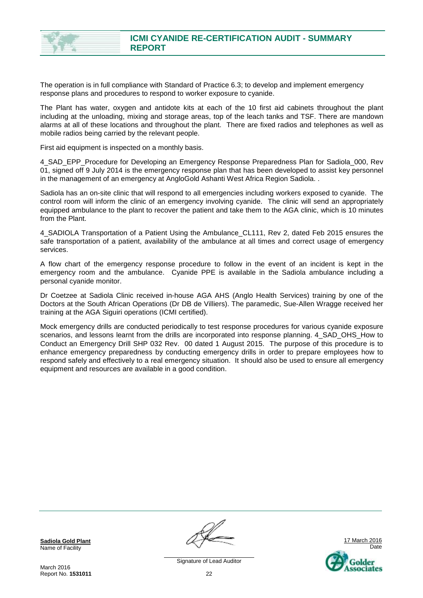

The operation is in full compliance with Standard of Practice 6.3; to develop and implement emergency response plans and procedures to respond to worker exposure to cyanide.

The Plant has water, oxygen and antidote kits at each of the 10 first aid cabinets throughout the plant including at the unloading, mixing and storage areas, top of the leach tanks and TSF. There are mandown alarms at all of these locations and throughout the plant. There are fixed radios and telephones as well as mobile radios being carried by the relevant people.

First aid equipment is inspected on a monthly basis.

4\_SAD\_EPP\_Procedure for Developing an Emergency Response Preparedness Plan for Sadiola\_000, Rev 01, signed off 9 July 2014 is the emergency response plan that has been developed to assist key personnel in the management of an emergency at AngloGold Ashanti West Africa Region Sadiola. .

Sadiola has an on-site clinic that will respond to all emergencies including workers exposed to cyanide. The control room will inform the clinic of an emergency involving cyanide. The clinic will send an appropriately equipped ambulance to the plant to recover the patient and take them to the AGA clinic, which is 10 minutes from the Plant.

4\_SADIOLA Transportation of a Patient Using the Ambulance\_CL111, Rev 2, dated Feb 2015 ensures the safe transportation of a patient, availability of the ambulance at all times and correct usage of emergency services.

A flow chart of the emergency response procedure to follow in the event of an incident is kept in the emergency room and the ambulance. Cyanide PPE is available in the Sadiola ambulance including a personal cyanide monitor.

Dr Coetzee at Sadiola Clinic received in-house AGA AHS (Anglo Health Services) training by one of the Doctors at the South African Operations (Dr DB de Villiers). The paramedic, Sue-Allen Wragge received her training at the AGA Siguiri operations (ICMI certified).

Mock emergency drills are conducted periodically to test response procedures for various cyanide exposure scenarios, and lessons learnt from the drills are incorporated into response planning. 4\_SAD\_OHS\_How to Conduct an Emergency Drill SHP 032 Rev. 00 dated 1 August 2015. The purpose of this procedure is to enhance emergency preparedness by conducting emergency drills in order to prepare employees how to respond safely and effectively to a real emergency situation. It should also be used to ensure all emergency equipment and resources are available in a good condition.

**Sadiola Gold Plant** Name of Facility

March 2016 Report No. **1531011**

17 March 2016 Date Golder ssociates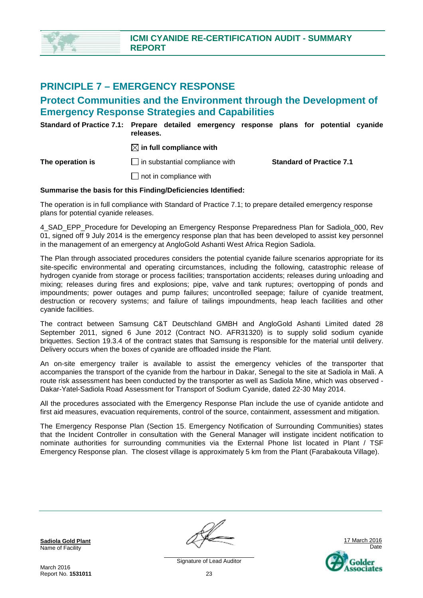### **PRINCIPLE 7 – EMERGENCY RESPONSE**

### **Protect Communities and the Environment through the Development of Emergency Response Strategies and Capabilities**

**Standard of Practice 7.1: Prepare detailed emergency response plans for potential cyanide releases.** 

 $\boxtimes$  in full compliance with

**The operation is** in substantial compliance with **Standard of Practice 7.1** 

 $\Box$  not in compliance with

#### **Summarise the basis for this Finding/Deficiencies Identified:**

The operation is in full compliance with Standard of Practice 7.1; to prepare detailed emergency response plans for potential cyanide releases.

4 SAD\_EPP\_Procedure for Developing an Emergency Response Preparedness Plan for Sadiola\_000, Rev 01, signed off 9 July 2014 is the emergency response plan that has been developed to assist key personnel in the management of an emergency at AngloGold Ashanti West Africa Region Sadiola.

The Plan through associated procedures considers the potential cyanide failure scenarios appropriate for its site-specific environmental and operating circumstances, including the following, catastrophic release of hydrogen cyanide from storage or process facilities; transportation accidents; releases during unloading and mixing; releases during fires and explosions; pipe, valve and tank ruptures; overtopping of ponds and impoundments; power outages and pump failures; uncontrolled seepage; failure of cyanide treatment, destruction or recovery systems; and failure of tailings impoundments, heap leach facilities and other cyanide facilities.

The contract between Samsung C&T Deutschland GMBH and AngloGold Ashanti Limited dated 28 September 2011, signed 6 June 2012 (Contract NO. AFR31320) is to supply solid sodium cyanide briquettes. Section 19.3.4 of the contract states that Samsung is responsible for the material until delivery. Delivery occurs when the boxes of cyanide are offloaded inside the Plant.

An on-site emergency trailer is available to assist the emergency vehicles of the transporter that accompanies the transport of the cyanide from the harbour in Dakar, Senegal to the site at Sadiola in Mali. A route risk assessment has been conducted by the transporter as well as Sadiola Mine, which was observed - Dakar-Yatel-Sadiola Road Assessment for Transport of Sodium Cyanide, dated 22-30 May 2014.

All the procedures associated with the Emergency Response Plan include the use of cyanide antidote and first aid measures, evacuation requirements, control of the source, containment, assessment and mitigation.

The Emergency Response Plan (Section 15. Emergency Notification of Surrounding Communities) states that the Incident Controller in consultation with the General Manager will instigate incident notification to nominate authorities for surrounding communities via the External Phone list located in Plant / TSF Emergency Response plan. The closest village is approximately 5 km from the Plant (Farabakouta Village).

**Sadiola Gold Plant** Name of Facility



Signature of Lead Auditor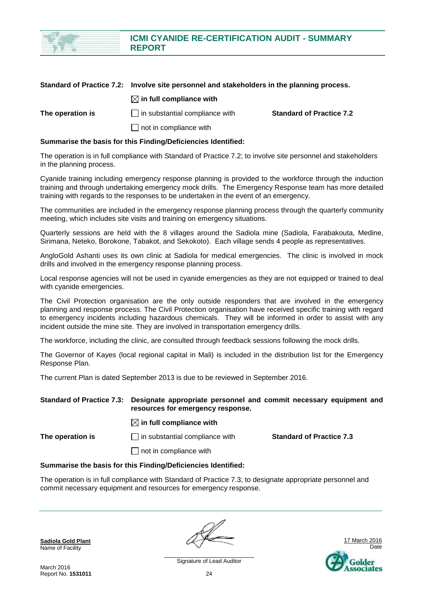

|                  | Standard of Practice 7.2: Involve site personnel and stakeholders in the planning process. |                                 |
|------------------|--------------------------------------------------------------------------------------------|---------------------------------|
|                  | $\boxtimes$ in full compliance with                                                        |                                 |
| The operation is | $\Box$ in substantial compliance with                                                      | <b>Standard of Practice 7.2</b> |
|                  | $\Box$ not in compliance with                                                              |                                 |

#### **Summarise the basis for this Finding/Deficiencies Identified:**

The operation is in full compliance with Standard of Practice 7.2; to involve site personnel and stakeholders in the planning process.

Cyanide training including emergency response planning is provided to the workforce through the induction training and through undertaking emergency mock drills. The Emergency Response team has more detailed training with regards to the responses to be undertaken in the event of an emergency.

The communities are included in the emergency response planning process through the quarterly community meeting, which includes site visits and training on emergency situations.

Quarterly sessions are held with the 8 villages around the Sadiola mine (Sadiola, Farabakouta, Medine, Sirimana, Neteko, Borokone, Tabakot, and Sekokoto). Each village sends 4 people as representatives.

AngloGold Ashanti uses its own clinic at Sadiola for medical emergencies. The clinic is involved in mock drills and involved in the emergency response planning process.

Local response agencies will not be used in cyanide emergencies as they are not equipped or trained to deal with cyanide emergencies.

The Civil Protection organisation are the only outside responders that are involved in the emergency planning and response process. The Civil Protection organisation have received specific training with regard to emergency incidents including hazardous chemicals. They will be informed in order to assist with any incident outside the mine site. They are involved in transportation emergency drills.

The workforce, including the clinic, are consulted through feedback sessions following the mock drills.

The Governor of Kayes (local regional capital in Mali) is included in the distribution list for the Emergency Response Plan.

The current Plan is dated September 2013 is due to be reviewed in September 2016.

#### **Standard of Practice 7.3: Designate appropriate personnel and commit necessary equipment and resources for emergency response.**

#### $\boxtimes$  in full compliance with

**The operation is in substantial compliance with <b>Standard of Practice 7.3 C** 

 $\Box$  not in compliance with

#### **Summarise the basis for this Finding/Deficiencies Identified:**

The operation is in full compliance with Standard of Practice 7.3; to designate appropriate personnel and commit necessary equipment and resources for emergency response.

**Sadiola Gold Plant** Name of Facility



March 2016 Report No. **1531011**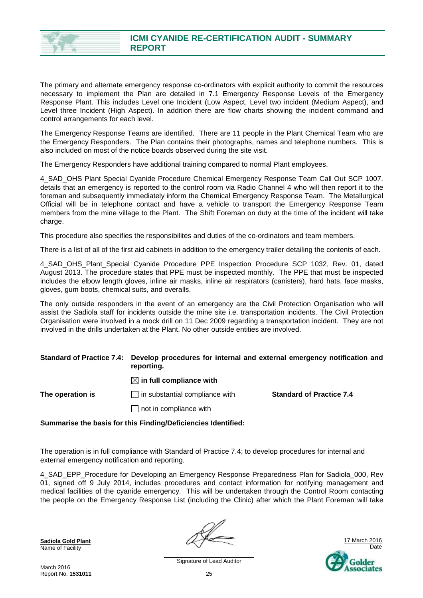

The primary and alternate emergency response co-ordinators with explicit authority to commit the resources necessary to implement the Plan are detailed in 7.1 Emergency Response Levels of the Emergency Response Plant. This includes Level one Incident (Low Aspect, Level two incident (Medium Aspect), and Level three Incident (High Aspect). In addition there are flow charts showing the incident command and control arrangements for each level.

The Emergency Response Teams are identified. There are 11 people in the Plant Chemical Team who are the Emergency Responders. The Plan contains their photographs, names and telephone numbers. This is also included on most of the notice boards observed during the site visit.

The Emergency Responders have additional training compared to normal Plant employees.

4\_SAD\_OHS Plant Special Cyanide Procedure Chemical Emergency Response Team Call Out SCP 1007. details that an emergency is reported to the control room via Radio Channel 4 who will then report it to the foreman and subsequently immediately inform the Chemical Emergency Response Team. The Metallurgical Official will be in telephone contact and have a vehicle to transport the Emergency Response Team members from the mine village to the Plant. The Shift Foreman on duty at the time of the incident will take charge.

This procedure also specifies the responsibilites and duties of the co-ordinators and team members.

There is a list of all of the first aid cabinets in addition to the emergency trailer detailing the contents of each.

4\_SAD\_OHS\_Plant\_Special Cyanide Procedure PPE Inspection Procedure SCP 1032, Rev. 01, dated August 2013. The procedure states that PPE must be inspected monthly. The PPE that must be inspected includes the elbow length gloves, inline air masks, inline air respirators (canisters), hard hats, face masks, gloves, gum boots, chemical suits, and overalls.

The only outside responders in the event of an emergency are the Civil Protection Organisation who will assist the Sadiola staff for incidents outside the mine site i.e. transportation incidents. The Civil Protection Organisation were involved in a mock drill on 11 Dec 2009 regarding a transportation incident. They are not involved in the drills undertaken at the Plant. No other outside entities are involved.

#### **Standard of Practice 7.4: Develop procedures for internal and external emergency notification and reporting.**

 $\boxtimes$  in full compliance with

#### **The operation is I** in substantial compliance with **Standard of Practice 7.4**

 $\Box$  not in compliance with

#### **Summarise the basis for this Finding/Deficiencies Identified:**

The operation is in full compliance with Standard of Practice 7.4; to develop procedures for internal and external emergency notification and reporting.

4\_SAD\_EPP\_Procedure for Developing an Emergency Response Preparedness Plan for Sadiola\_000, Rev 01, signed off 9 July 2014, includes procedures and contact information for notifying management and medical facilities of the cyanide emergency. This will be undertaken through the Control Room contacting the people on the Emergency Response List (including the Clinic) after which the Plant Foreman will take

**Sadiola Gold Plant** Name of Facility

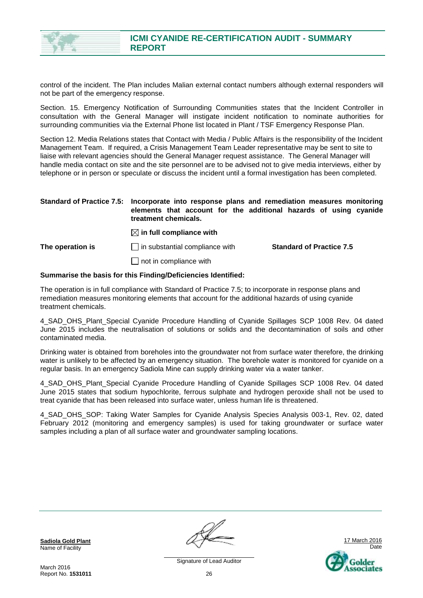

control of the incident. The Plan includes Malian external contact numbers although external responders will not be part of the emergency response.

Section. 15. Emergency Notification of Surrounding Communities states that the Incident Controller in consultation with the General Manager will instigate incident notification to nominate authorities for surrounding communities via the External Phone list located in Plant / TSF Emergency Response Plan.

Section 12. Media Relations states that Contact with Media / Public Affairs is the responsibility of the Incident Management Team. If required, a Crisis Management Team Leader representative may be sent to site to liaise with relevant agencies should the General Manager request assistance. The General Manager will handle media contact on site and the site personnel are to be advised not to give media interviews, either by telephone or in person or speculate or discuss the incident until a formal investigation has been completed.

#### **Standard of Practice 7.5: Incorporate into response plans and remediation measures monitoring elements that account for the additional hazards of using cyanide treatment chemicals.**

 $\boxtimes$  in full compliance with

**The operation is in substantial compliance with Standard of Practice 7.5** 

 $\Box$  not in compliance with

#### **Summarise the basis for this Finding/Deficiencies Identified:**

The operation is in full compliance with Standard of Practice 7.5; to incorporate in response plans and remediation measures monitoring elements that account for the additional hazards of using cyanide treatment chemicals.

4\_SAD\_OHS\_Plant\_Special Cyanide Procedure Handling of Cyanide Spillages SCP 1008 Rev. 04 dated June 2015 includes the neutralisation of solutions or solids and the decontamination of soils and other contaminated media.

Drinking water is obtained from boreholes into the groundwater not from surface water therefore, the drinking water is unlikely to be affected by an emergency situation. The borehole water is monitored for cyanide on a regular basis. In an emergency Sadiola Mine can supply drinking water via a water tanker.

4\_SAD\_OHS\_Plant\_Special Cyanide Procedure Handling of Cyanide Spillages SCP 1008 Rev. 04 dated June 2015 states that sodium hypochlorite, ferrous sulphate and hydrogen peroxide shall not be used to treat cyanide that has been released into surface water, unless human life is threatened.

4 SAD OHS SOP: Taking Water Samples for Cyanide Analysis Species Analysis 003-1, Rev. 02, dated February 2012 (monitoring and emergency samples) is used for taking groundwater or surface water samples including a plan of all surface water and groundwater sampling locations.

**Sadiola Gold Plant** Name of Facility

March 2016 Report No. **1531011**

17 March 2016 Date Golder senciates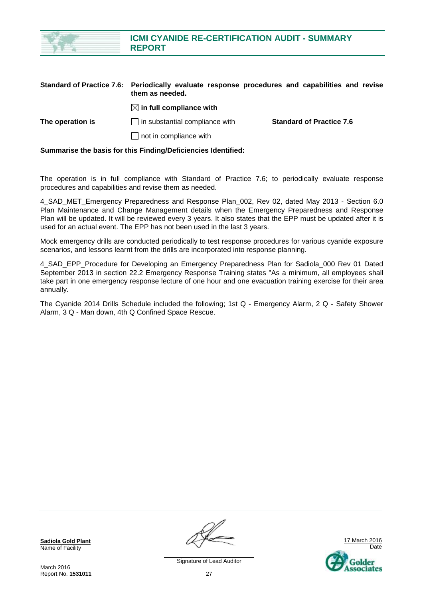|                                  | <b>REPORT</b>                         |                                                                       |
|----------------------------------|---------------------------------------|-----------------------------------------------------------------------|
| <b>Standard of Practice 7.6:</b> | them as needed.                       | Periodically evaluate response procedures and capabilities and revise |
|                                  | $\boxtimes$ in full compliance with   |                                                                       |
| The operation is                 | $\Box$ in substantial compliance with | <b>Standard of Practice 7.6</b>                                       |
|                                  | not in compliance with                |                                                                       |

**ICMI CYANIDE RE-CERTIFICATION AUDIT - SUMMARY** 

**Summarise the basis for this Finding/Deficiencies Identified:** 

The operation is in full compliance with Standard of Practice 7.6; to periodically evaluate response procedures and capabilities and revise them as needed.

4 SAD MET Emergency Preparedness and Response Plan 002, Rev 02, dated May 2013 - Section 6.0 Plan Maintenance and Change Management details when the Emergency Preparedness and Response Plan will be updated. It will be reviewed every 3 years. It also states that the EPP must be updated after it is used for an actual event. The EPP has not been used in the last 3 years.

Mock emergency drills are conducted periodically to test response procedures for various cyanide exposure scenarios, and lessons learnt from the drills are incorporated into response planning.

4\_SAD\_EPP\_Procedure for Developing an Emergency Preparedness Plan for Sadiola\_000 Rev 01 Dated September 2013 in section 22.2 Emergency Response Training states "As a minimum, all employees shall take part in one emergency response lecture of one hour and one evacuation training exercise for their area annually.

The Cyanide 2014 Drills Schedule included the following; 1st Q - Emergency Alarm, 2 Q - Safety Shower Alarm, 3 Q - Man down, 4th Q Confined Space Rescue.

**Sadiola Gold Plant** Name of Facility

March 2016 Report No. **1531011**

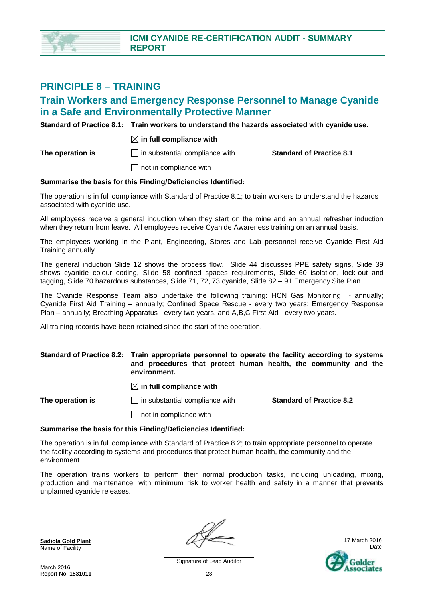

### **PRINCIPLE 8 – TRAINING**

### **Train Workers and Emergency Response Personnel to Manage Cyanide in a Safe and Environmentally Protective Manner**

**Standard of Practice 8.1: Train workers to understand the hazards associated with cyanide use.** 

#### $\boxtimes$  in full compliance with

**The operation is in substantial compliance with <b>Standard of Practice 8.1 C** 

 $\Box$  not in compliance with

#### **Summarise the basis for this Finding/Deficiencies Identified:**

The operation is in full compliance with Standard of Practice 8.1; to train workers to understand the hazards associated with cyanide use.

All employees receive a general induction when they start on the mine and an annual refresher induction when they return from leave. All employees receive Cyanide Awareness training on an annual basis.

The employees working in the Plant, Engineering, Stores and Lab personnel receive Cyanide First Aid Training annually.

The general induction Slide 12 shows the process flow. Slide 44 discusses PPE safety signs, Slide 39 shows cyanide colour coding, Slide 58 confined spaces requirements, Slide 60 isolation, lock-out and tagging, Slide 70 hazardous substances, Slide 71, 72, 73 cyanide, Slide 82 – 91 Emergency Site Plan.

The Cyanide Response Team also undertake the following training: HCN Gas Monitoring - annually; Cyanide First Aid Training – annually; Confined Space Rescue - every two years; Emergency Response Plan – annually; Breathing Apparatus - every two years, and A,B,C First Aid - every two years.

All training records have been retained since the start of the operation.

#### **Standard of Practice 8.2: Train appropriate personnel to operate the facility according to systems and procedures that protect human health, the community and the environment.**

 $\boxtimes$  in full compliance with

**The operation is in substantial compliance with <b>Standard of Practice 8.2** 

 $\Box$  not in compliance with

#### **Summarise the basis for this Finding/Deficiencies Identified:**

The operation is in full compliance with Standard of Practice 8.2; to train appropriate personnel to operate the facility according to systems and procedures that protect human health, the community and the environment.

The operation trains workers to perform their normal production tasks, including unloading, mixing, production and maintenance, with minimum risk to worker health and safety in a manner that prevents unplanned cyanide releases.

**Sadiola Gold Plant** Name of Facility



March 2016 Report No. **1531011**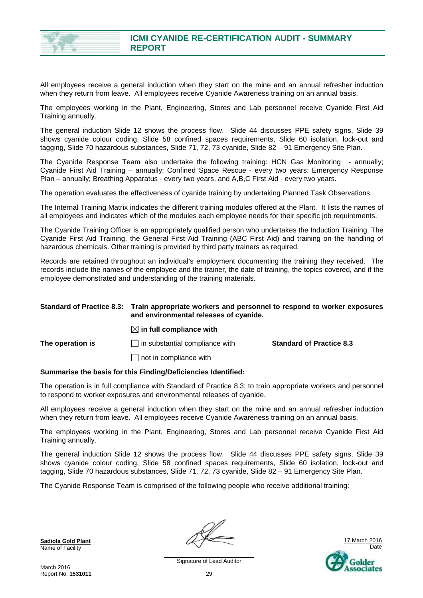

All employees receive a general induction when they start on the mine and an annual refresher induction when they return from leave. All employees receive Cyanide Awareness training on an annual basis.

The employees working in the Plant, Engineering, Stores and Lab personnel receive Cyanide First Aid Training annually.

The general induction Slide 12 shows the process flow. Slide 44 discusses PPE safety signs, Slide 39 shows cyanide colour coding, Slide 58 confined spaces requirements, Slide 60 isolation, lock-out and tagging, Slide 70 hazardous substances, Slide 71, 72, 73 cyanide, Slide 82 – 91 Emergency Site Plan.

The Cyanide Response Team also undertake the following training: HCN Gas Monitoring - annually; Cyanide First Aid Training – annually; Confined Space Rescue - every two years; Emergency Response Plan – annually; Breathing Apparatus - every two years, and A,B,C First Aid - every two years.

The operation evaluates the effectiveness of cyanide training by undertaking Planned Task Observations.

The Internal Training Matrix indicates the different training modules offered at the Plant. It lists the names of all employees and indicates which of the modules each employee needs for their specific job requirements.

The Cyanide Training Officer is an appropriately qualified person who undertakes the Induction Training, The Cyanide First Aid Training, the General First Aid Training (ABC First Aid) and training on the handling of hazardous chemicals. Other training is provided by third party trainers as required.

Records are retained throughout an individual's employment documenting the training they received. The records include the names of the employee and the trainer, the date of training, the topics covered, and if the employee demonstrated and understanding of the training materials.

#### **Standard of Practice 8.3: Train appropriate workers and personnel to respond to worker exposures and environmental releases of cyanide.**

#### $\boxtimes$  in full compliance with

**The operation is in substantial compliance with <b>Standard of Practice 8.3** 

 $\Box$  not in compliance with

#### **Summarise the basis for this Finding/Deficiencies Identified:**

The operation is in full compliance with Standard of Practice 8.3; to train appropriate workers and personnel to respond to worker exposures and environmental releases of cyanide.

All employees receive a general induction when they start on the mine and an annual refresher induction when they return from leave. All employees receive Cyanide Awareness training on an annual basis.

The employees working in the Plant, Engineering, Stores and Lab personnel receive Cyanide First Aid Training annually.

The general induction Slide 12 shows the process flow. Slide 44 discusses PPE safety signs, Slide 39 shows cyanide colour coding, Slide 58 confined spaces requirements, Slide 60 isolation, lock-out and tagging, Slide 70 hazardous substances, Slide 71, 72, 73 cyanide, Slide 82 – 91 Emergency Site Plan.

The Cyanide Response Team is comprised of the following people who receive additional training:

**Sadiola Gold Plant** Name of Facility

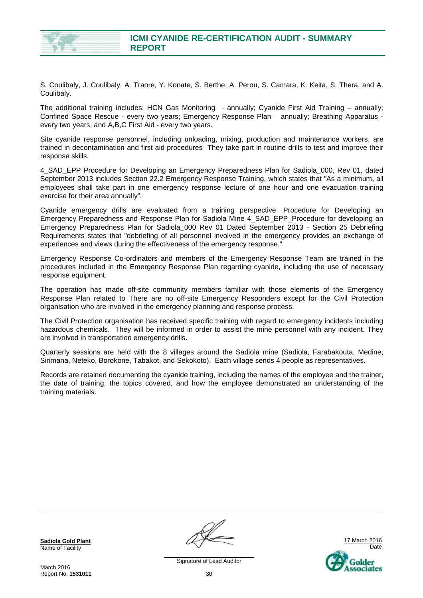

S. Coulibaly, J. Coulibaly, A. Traore, Y. Konate, S. Berthe, A. Perou, S. Camara, K. Keita, S. Thera, and A. Coulibaly.

The additional training includes: HCN Gas Monitoring - annually; Cyanide First Aid Training – annually; Confined Space Rescue - every two years; Emergency Response Plan – annually; Breathing Apparatus every two years, and A,B,C First Aid - every two years.

Site cyanide response personnel, including unloading, mixing, production and maintenance workers, are trained in decontamination and first aid procedures They take part in routine drills to test and improve their response skills.

4\_SAD\_EPP Procedure for Developing an Emergency Preparedness Plan for Sadiola\_000, Rev 01, dated September 2013 includes Section 22.2 Emergency Response Training, which states that "As a minimum, all employees shall take part in one emergency response lecture of one hour and one evacuation training exercise for their area annually".

Cyanide emergency drills are evaluated from a training perspective. Procedure for Developing an Emergency Preparedness and Response Plan for Sadiola Mine 4\_SAD\_EPP\_Procedure for developing an Emergency Preparedness Plan for Sadiola\_000 Rev 01 Dated September 2013 - Section 25 Debriefing Requirements states that "debriefing of all personnel involved in the emergency provides an exchange of experiences and views during the effectiveness of the emergency response."

Emergency Response Co-ordinators and members of the Emergency Response Team are trained in the procedures included in the Emergency Response Plan regarding cyanide, including the use of necessary response equipment.

The operation has made off-site community members familiar with those elements of the Emergency Response Plan related to There are no off-site Emergency Responders except for the Civil Protection organisation who are involved in the emergency planning and response process.

The Civil Protection organisation has received specific training with regard to emergency incidents including hazardous chemicals. They will be informed in order to assist the mine personnel with any incident. They are involved in transportation emergency drills.

Quarterly sessions are held with the 8 villages around the Sadiola mine (Sadiola, Farabakouta, Medine, Sirimana, Neteko, Borokone, Tabakot, and Sekokoto). Each village sends 4 people as representatives.

Records are retained documenting the cyanide training, including the names of the employee and the trainer, the date of training, the topics covered, and how the employee demonstrated an understanding of the training materials.

**Sadiola Gold Plant** Name of Facility

March 2016 Report No. **1531011**

17 March 2016 Date Golder ssociates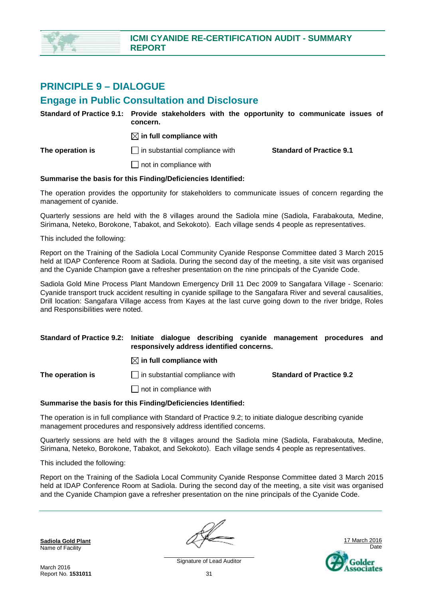

### **PRINCIPLE 9 – DIALOGUE**

### **Engage in Public Consultation and Disclosure**

|                  | concern.                                                      | Standard of Practice 9.1: Provide stakeholders with the opportunity to communicate issues of |
|------------------|---------------------------------------------------------------|----------------------------------------------------------------------------------------------|
|                  | $\boxtimes$ in full compliance with                           |                                                                                              |
| The operation is | $\Box$ in substantial compliance with                         | <b>Standard of Practice 9.1</b>                                                              |
|                  | $\Box$ not in compliance with                                 |                                                                                              |
|                  | Summarise the basis for this Finding/Deficiencies Identified: |                                                                                              |

The operation provides the opportunity for stakeholders to communicate issues of concern regarding the management of cyanide.

Quarterly sessions are held with the 8 villages around the Sadiola mine (Sadiola, Farabakouta, Medine, Sirimana, Neteko, Borokone, Tabakot, and Sekokoto). Each village sends 4 people as representatives.

This included the following:

Report on the Training of the Sadiola Local Community Cyanide Response Committee dated 3 March 2015 held at IDAP Conference Room at Sadiola. During the second day of the meeting, a site visit was organised and the Cyanide Champion gave a refresher presentation on the nine principals of the Cyanide Code.

Sadiola Gold Mine Process Plant Mandown Emergency Drill 11 Dec 2009 to Sangafara Village - Scenario: Cyanide transport truck accident resulting in cyanide spillage to the Sangafara River and several causalities, Drill location: Sangafara Village access from Kayes at the last curve going down to the river bridge, Roles and Responsibilities were noted.

#### **Standard of Practice 9.2: Initiate dialogue describing cyanide management procedures and responsively address identified concerns.**

 $\boxtimes$  in full compliance with

 $\Box$  not in compliance with

**The operation is in substantial compliance with <b>Standard of Practice 9.2** 

#### **Summarise the basis for this Finding/Deficiencies Identified:**

The operation is in full compliance with Standard of Practice 9.2; to initiate dialogue describing cyanide management procedures and responsively address identified concerns.

Quarterly sessions are held with the 8 villages around the Sadiola mine (Sadiola, Farabakouta, Medine, Sirimana, Neteko, Borokone, Tabakot, and Sekokoto). Each village sends 4 people as representatives.

This included the following:

Report on the Training of the Sadiola Local Community Cyanide Response Committee dated 3 March 2015 held at IDAP Conference Room at Sadiola. During the second day of the meeting, a site visit was organised and the Cyanide Champion gave a refresher presentation on the nine principals of the Cyanide Code.

**Sadiola Gold Plant** Name of Facility

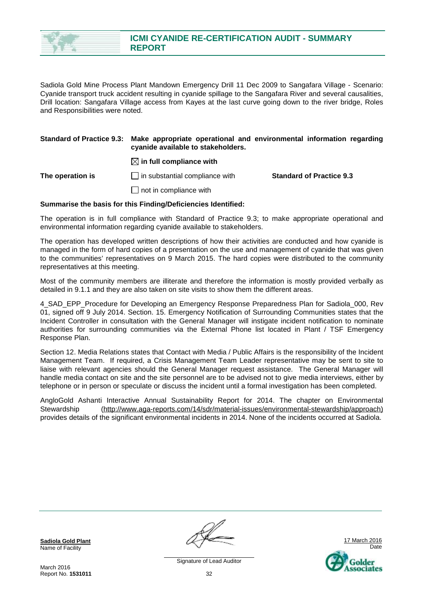

Sadiola Gold Mine Process Plant Mandown Emergency Drill 11 Dec 2009 to Sangafara Village - Scenario: Cyanide transport truck accident resulting in cyanide spillage to the Sangafara River and several causalities, Drill location: Sangafara Village access from Kayes at the last curve going down to the river bridge, Roles and Responsibilities were noted.

#### **Standard of Practice 9.3: Make appropriate operational and environmental information regarding cyanide available to stakeholders.**

#### $\boxtimes$  in full compliance with

**The operation is** in substantial compliance with **Standard of Practice 9.3** 

 $\Box$  not in compliance with

#### **Summarise the basis for this Finding/Deficiencies Identified:**

The operation is in full compliance with Standard of Practice 9.3; to make appropriate operational and environmental information regarding cyanide available to stakeholders.

The operation has developed written descriptions of how their activities are conducted and how cyanide is managed in the form of hard copies of a presentation on the use and management of cyanide that was given to the communities' representatives on 9 March 2015. The hard copies were distributed to the community representatives at this meeting.

Most of the community members are illiterate and therefore the information is mostly provided verbally as detailed in 9.1.1 and they are also taken on site visits to show them the different areas.

4 SAD\_EPP\_Procedure for Developing an Emergency Response Preparedness Plan for Sadiola\_000, Rev 01, signed off 9 July 2014. Section. 15. Emergency Notification of Surrounding Communities states that the Incident Controller in consultation with the General Manager will instigate incident notification to nominate authorities for surrounding communities via the External Phone list located in Plant / TSF Emergency Response Plan.

Section 12. Media Relations states that Contact with Media / Public Affairs is the responsibility of the Incident Management Team. If required, a Crisis Management Team Leader representative may be sent to site to liaise with relevant agencies should the General Manager request assistance. The General Manager will handle media contact on site and the site personnel are to be advised not to give media interviews, either by telephone or in person or speculate or discuss the incident until a formal investigation has been completed.

AngloGold Ashanti Interactive Annual Sustainability Report for 2014. The chapter on Environmental Stewardship ([http://www.aga-reports.com/14/sdr/material-issues/environmental-stewardship/approach\)](http://www.aga-reports.com/14/sdr/material-issues/environmental-stewardship/approach)) provides details of the significant environmental incidents in 2014. None of the incidents occurred at Sadiola.

**Sadiola Gold Plant** Name of Facility

17 March 2016 Date Golder senciates

Signature of Lead Auditor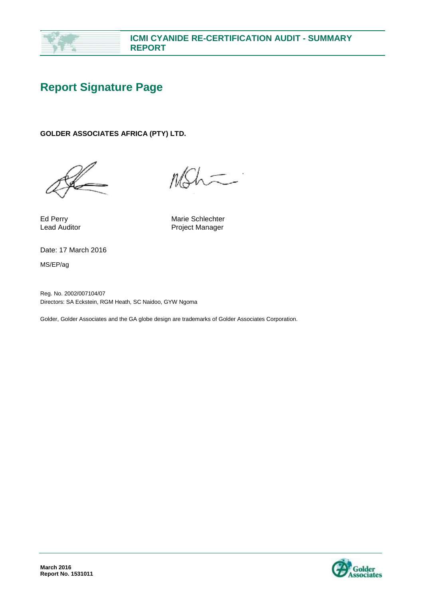

# **Report Signature Page**

#### **GOLDER ASSOCIATES AFRICA (PTY) LTD.**

Ed Perry **Marie Schlechter** Marie Schlechter Lead Auditor **Contact Contact Auditor** Project Manager

Date: 17 March 2016

MS/EP/ag

Reg. No. 2002/007104/07 Directors: SA Eckstein, RGM Heath, SC Naidoo, GYW Ngoma

Golder, Golder Associates and the GA globe design are trademarks of Golder Associates Corporation.